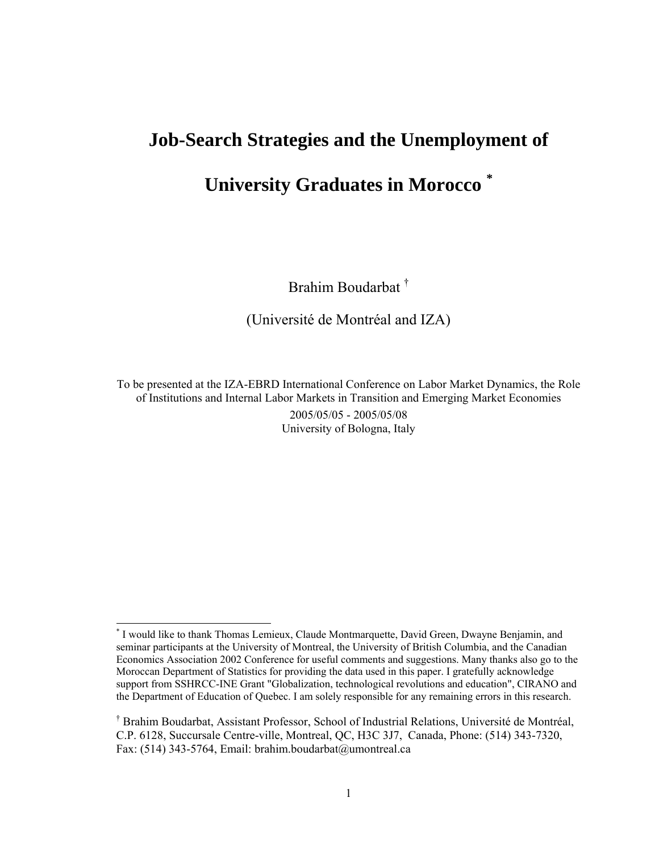## **Job-Search Strategies and the Unemployment of**

# **University Graduates in Morocco \***

Brahim Boudarbat †

(Université de Montréal and IZA)

To be presented at the IZA-EBRD International Conference on Labor Market Dynamics, the Role of Institutions and Internal Labor Markets in Transition and Emerging Market Economies 2005/05/05 - 2005/05/08 University of Bologna, Italy

 $\overline{a}$ 

<sup>\*</sup> I would like to thank Thomas Lemieux, Claude Montmarquette, David Green, Dwayne Benjamin, and seminar participants at the University of Montreal, the University of British Columbia, and the Canadian Economics Association 2002 Conference for useful comments and suggestions. Many thanks also go to the Moroccan Department of Statistics for providing the data used in this paper. I gratefully acknowledge support from SSHRCC-INE Grant "Globalization, technological revolutions and education", CIRANO and the Department of Education of Quebec. I am solely responsible for any remaining errors in this research.

<sup>†</sup> Brahim Boudarbat, Assistant Professor, School of Industrial Relations, Université de Montréal, C.P. 6128, Succursale Centre-ville, Montreal, QC, H3C 3J7, Canada, Phone: (514) 343-7320, Fax: (514) 343-5764, Email: brahim.boudarbat@umontreal.ca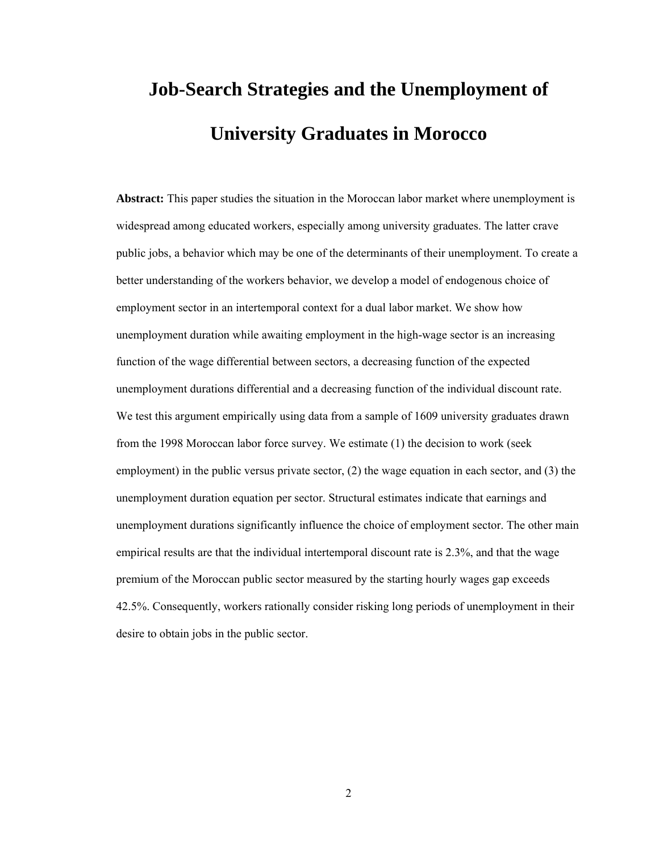# **Job-Search Strategies and the Unemployment of University Graduates in Morocco**

**Abstract:** This paper studies the situation in the Moroccan labor market where unemployment is widespread among educated workers, especially among university graduates. The latter crave public jobs, a behavior which may be one of the determinants of their unemployment. To create a better understanding of the workers behavior, we develop a model of endogenous choice of employment sector in an intertemporal context for a dual labor market. We show how unemployment duration while awaiting employment in the high-wage sector is an increasing function of the wage differential between sectors, a decreasing function of the expected unemployment durations differential and a decreasing function of the individual discount rate. We test this argument empirically using data from a sample of 1609 university graduates drawn from the 1998 Moroccan labor force survey. We estimate (1) the decision to work (seek employment) in the public versus private sector, (2) the wage equation in each sector, and (3) the unemployment duration equation per sector. Structural estimates indicate that earnings and unemployment durations significantly influence the choice of employment sector. The other main empirical results are that the individual intertemporal discount rate is 2.3%, and that the wage premium of the Moroccan public sector measured by the starting hourly wages gap exceeds 42.5%. Consequently, workers rationally consider risking long periods of unemployment in their desire to obtain jobs in the public sector.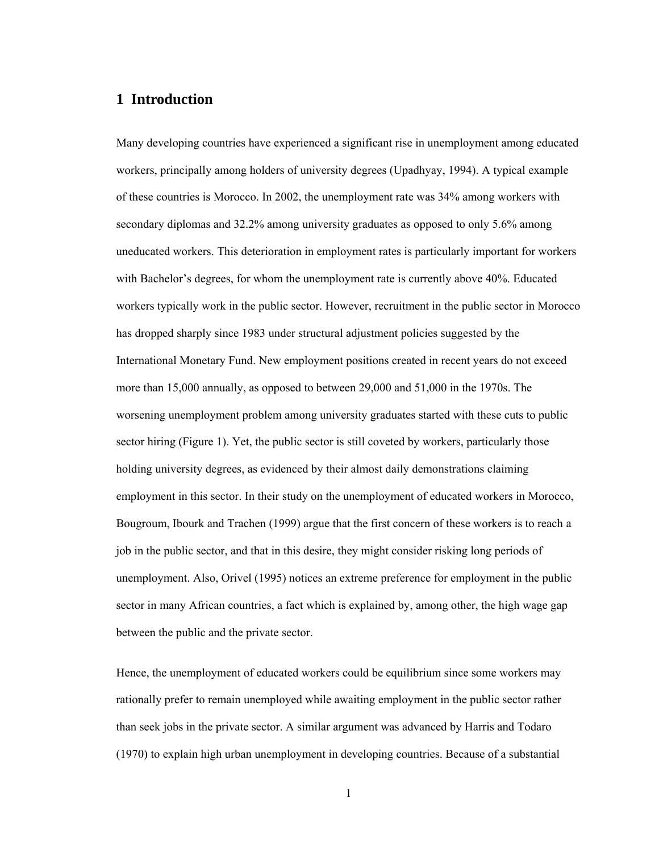#### **1 Introduction**

Many developing countries have experienced a significant rise in unemployment among educated workers, principally among holders of university degrees (Upadhyay, 1994). A typical example of these countries is Morocco. In 2002, the unemployment rate was 34% among workers with secondary diplomas and 32.2% among university graduates as opposed to only 5.6% among uneducated workers. This deterioration in employment rates is particularly important for workers with Bachelor's degrees, for whom the unemployment rate is currently above 40%. Educated workers typically work in the public sector. However, recruitment in the public sector in Morocco has dropped sharply since 1983 under structural adjustment policies suggested by the International Monetary Fund. New employment positions created in recent years do not exceed more than 15,000 annually, as opposed to between 29,000 and 51,000 in the 1970s. The worsening unemployment problem among university graduates started with these cuts to public sector hiring (Figure 1). Yet, the public sector is still coveted by workers, particularly those holding university degrees, as evidenced by their almost daily demonstrations claiming employment in this sector. In their study on the unemployment of educated workers in Morocco, Bougroum, Ibourk and Trachen (1999) argue that the first concern of these workers is to reach a job in the public sector, and that in this desire, they might consider risking long periods of unemployment. Also, Orivel (1995) notices an extreme preference for employment in the public sector in many African countries, a fact which is explained by, among other, the high wage gap between the public and the private sector.

Hence, the unemployment of educated workers could be equilibrium since some workers may rationally prefer to remain unemployed while awaiting employment in the public sector rather than seek jobs in the private sector. A similar argument was advanced by Harris and Todaro (1970) to explain high urban unemployment in developing countries. Because of a substantial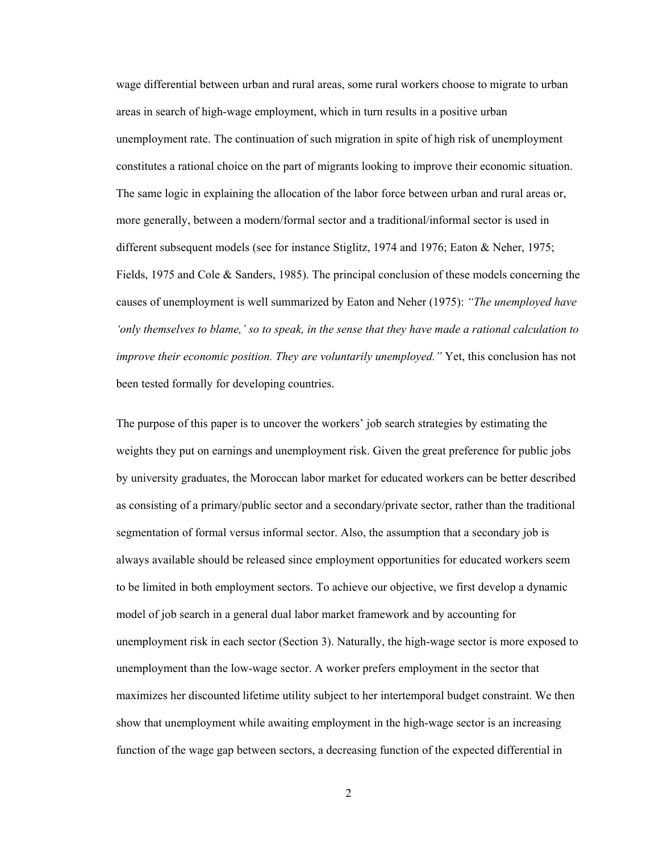wage differential between urban and rural areas, some rural workers choose to migrate to urban areas in search of high-wage employment, which in turn results in a positive urban unemployment rate. The continuation of such migration in spite of high risk of unemployment constitutes a rational choice on the part of migrants looking to improve their economic situation. The same logic in explaining the allocation of the labor force between urban and rural areas or, more generally, between a modern/formal sector and a traditional/informal sector is used in different subsequent models (see for instance Stiglitz, 1974 and 1976; Eaton & Neher, 1975; Fields, 1975 and Cole & Sanders, 1985). The principal conclusion of these models concerning the causes of unemployment is well summarized by Eaton and Neher (1975): *"The unemployed have 'only themselves to blame,' so to speak, in the sense that they have made a rational calculation to improve their economic position. They are voluntarily unemployed.* "Yet, this conclusion has not been tested formally for developing countries.

The purpose of this paper is to uncover the workers' job search strategies by estimating the weights they put on earnings and unemployment risk. Given the great preference for public jobs by university graduates, the Moroccan labor market for educated workers can be better described as consisting of a primary/public sector and a secondary/private sector, rather than the traditional segmentation of formal versus informal sector. Also, the assumption that a secondary job is always available should be released since employment opportunities for educated workers seem to be limited in both employment sectors. To achieve our objective, we first develop a dynamic model of job search in a general dual labor market framework and by accounting for unemployment risk in each sector (Section 3). Naturally, the high-wage sector is more exposed to unemployment than the low-wage sector. A worker prefers employment in the sector that maximizes her discounted lifetime utility subject to her intertemporal budget constraint. We then show that unemployment while awaiting employment in the high-wage sector is an increasing function of the wage gap between sectors, a decreasing function of the expected differential in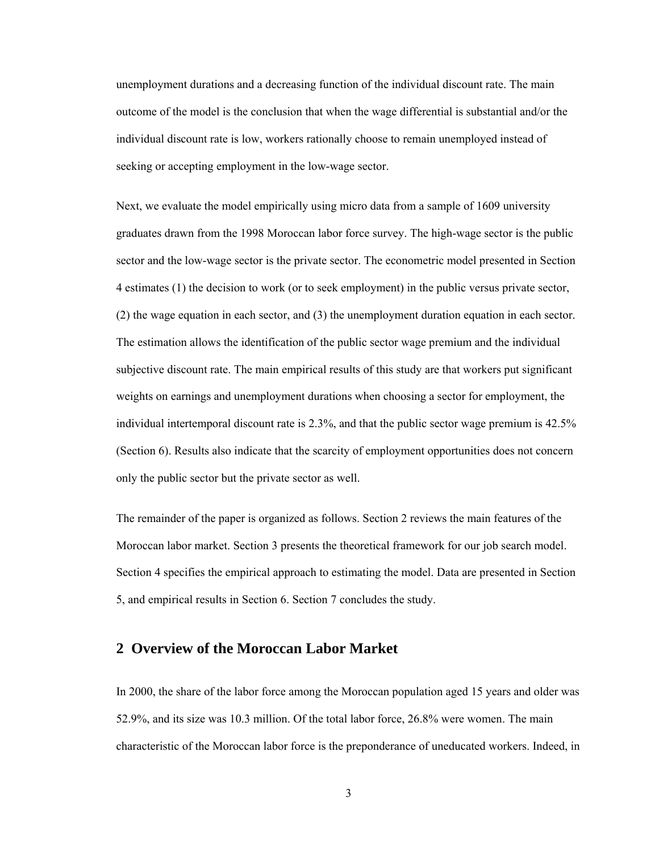unemployment durations and a decreasing function of the individual discount rate. The main outcome of the model is the conclusion that when the wage differential is substantial and/or the individual discount rate is low, workers rationally choose to remain unemployed instead of seeking or accepting employment in the low-wage sector.

Next, we evaluate the model empirically using micro data from a sample of 1609 university graduates drawn from the 1998 Moroccan labor force survey. The high-wage sector is the public sector and the low-wage sector is the private sector. The econometric model presented in Section 4 estimates (1) the decision to work (or to seek employment) in the public versus private sector, (2) the wage equation in each sector, and (3) the unemployment duration equation in each sector. The estimation allows the identification of the public sector wage premium and the individual subjective discount rate. The main empirical results of this study are that workers put significant weights on earnings and unemployment durations when choosing a sector for employment, the individual intertemporal discount rate is 2.3%, and that the public sector wage premium is 42.5% (Section 6). Results also indicate that the scarcity of employment opportunities does not concern only the public sector but the private sector as well.

The remainder of the paper is organized as follows. Section 2 reviews the main features of the Moroccan labor market. Section 3 presents the theoretical framework for our job search model. Section 4 specifies the empirical approach to estimating the model. Data are presented in Section 5, and empirical results in Section 6. Section 7 concludes the study.

#### **2 Overview of the Moroccan Labor Market**

In 2000, the share of the labor force among the Moroccan population aged 15 years and older was 52.9%, and its size was 10.3 million. Of the total labor force, 26.8% were women. The main characteristic of the Moroccan labor force is the preponderance of uneducated workers. Indeed, in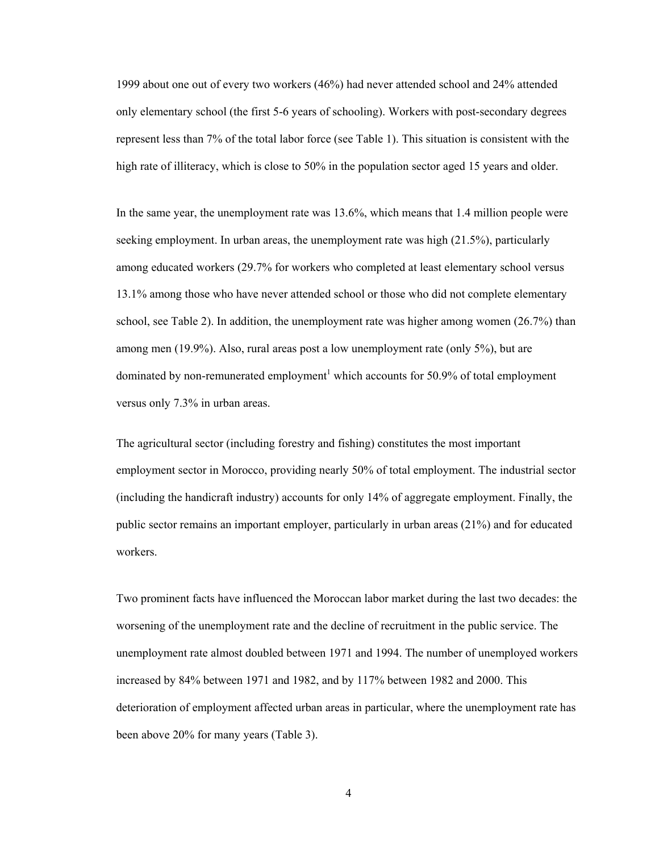1999 about one out of every two workers (46%) had never attended school and 24% attended only elementary school (the first 5-6 years of schooling). Workers with post-secondary degrees represent less than 7% of the total labor force (see Table 1). This situation is consistent with the high rate of illiteracy, which is close to 50% in the population sector aged 15 years and older.

In the same year, the unemployment rate was 13.6%, which means that 1.4 million people were seeking employment. In urban areas, the unemployment rate was high (21.5%), particularly among educated workers (29.7% for workers who completed at least elementary school versus 13.1% among those who have never attended school or those who did not complete elementary school, see Table 2). In addition, the unemployment rate was higher among women (26.7%) than among men (19.9%). Also, rural areas post a low unemployment rate (only 5%), but are dominated by non-remunerated employment<sup>1</sup> which accounts for 50.9% of total employment versus only 7.3% in urban areas.

The agricultural sector (including forestry and fishing) constitutes the most important employment sector in Morocco, providing nearly 50% of total employment. The industrial sector (including the handicraft industry) accounts for only 14% of aggregate employment. Finally, the public sector remains an important employer, particularly in urban areas (21%) and for educated workers.

Two prominent facts have influenced the Moroccan labor market during the last two decades: the worsening of the unemployment rate and the decline of recruitment in the public service. The unemployment rate almost doubled between 1971 and 1994. The number of unemployed workers increased by 84% between 1971 and 1982, and by 117% between 1982 and 2000. This deterioration of employment affected urban areas in particular, where the unemployment rate has been above 20% for many years (Table 3).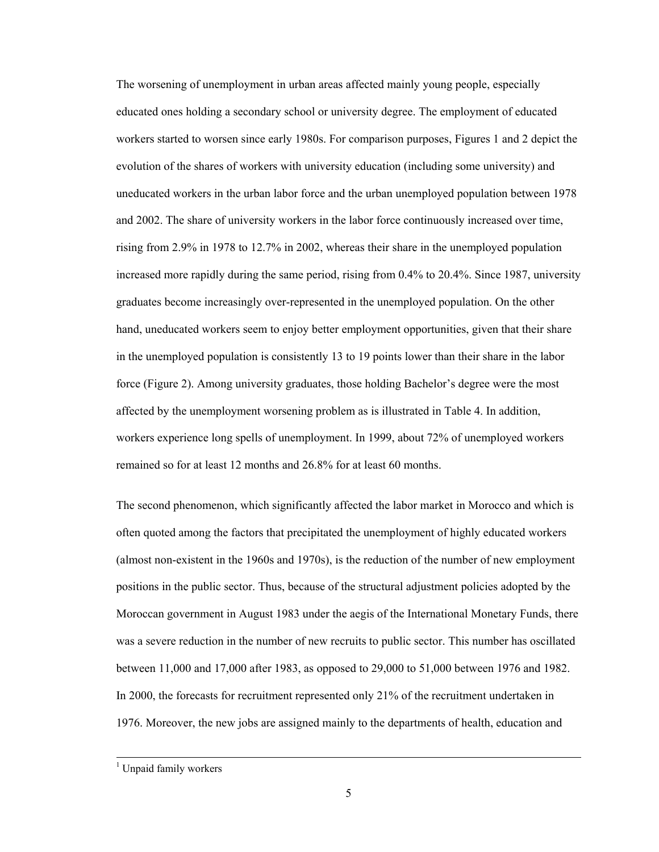The worsening of unemployment in urban areas affected mainly young people, especially educated ones holding a secondary school or university degree. The employment of educated workers started to worsen since early 1980s. For comparison purposes, Figures 1 and 2 depict the evolution of the shares of workers with university education (including some university) and uneducated workers in the urban labor force and the urban unemployed population between 1978 and 2002. The share of university workers in the labor force continuously increased over time, rising from 2.9% in 1978 to 12.7% in 2002, whereas their share in the unemployed population increased more rapidly during the same period, rising from 0.4% to 20.4%. Since 1987, university graduates become increasingly over-represented in the unemployed population. On the other hand, uneducated workers seem to enjoy better employment opportunities, given that their share in the unemployed population is consistently 13 to 19 points lower than their share in the labor force (Figure 2). Among university graduates, those holding Bachelor's degree were the most affected by the unemployment worsening problem as is illustrated in Table 4. In addition, workers experience long spells of unemployment. In 1999, about 72% of unemployed workers remained so for at least 12 months and 26.8% for at least 60 months.

The second phenomenon, which significantly affected the labor market in Morocco and which is often quoted among the factors that precipitated the unemployment of highly educated workers (almost non-existent in the 1960s and 1970s), is the reduction of the number of new employment positions in the public sector. Thus, because of the structural adjustment policies adopted by the Moroccan government in August 1983 under the aegis of the International Monetary Funds, there was a severe reduction in the number of new recruits to public sector. This number has oscillated between 11,000 and 17,000 after 1983, as opposed to 29,000 to 51,000 between 1976 and 1982. In 2000, the forecasts for recruitment represented only 21% of the recruitment undertaken in 1976. Moreover, the new jobs are assigned mainly to the departments of health, education and

 $\frac{1}{1}$ <sup>1</sup> Unpaid family workers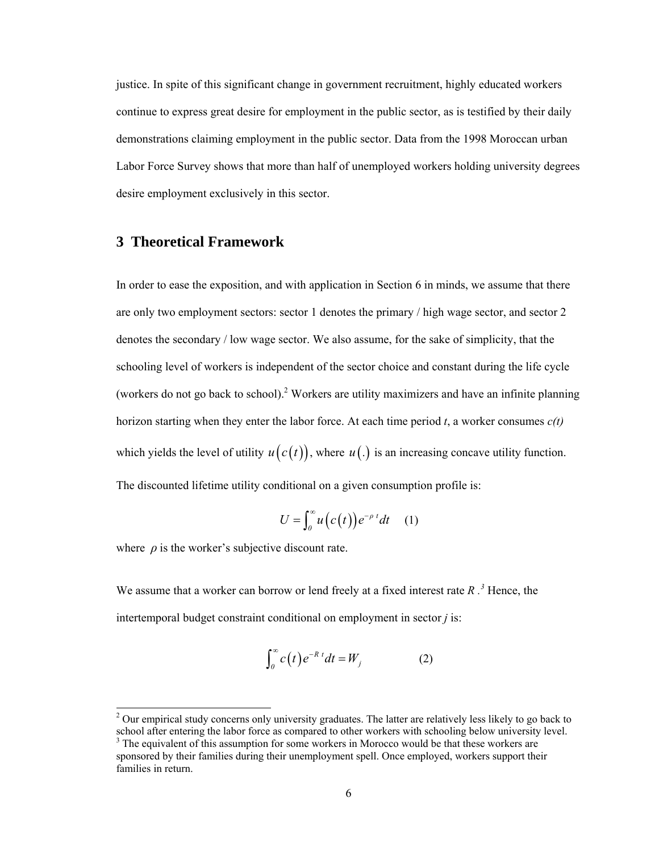justice. In spite of this significant change in government recruitment, highly educated workers continue to express great desire for employment in the public sector, as is testified by their daily demonstrations claiming employment in the public sector. Data from the 1998 Moroccan urban Labor Force Survey shows that more than half of unemployed workers holding university degrees desire employment exclusively in this sector.

#### **3 Theoretical Framework**

In order to ease the exposition, and with application in Section 6 in minds, we assume that there are only two employment sectors: sector 1 denotes the primary / high wage sector, and sector 2 denotes the secondary / low wage sector. We also assume, for the sake of simplicity, that the schooling level of workers is independent of the sector choice and constant during the life cycle (workers do not go back to school).<sup>2</sup> Workers are utility maximizers and have an infinite planning horizon starting when they enter the labor force. At each time period *t*, a worker consumes *c(t)* which yields the level of utility  $u(c(t))$ , where  $u(.)$  is an increasing concave utility function. The discounted lifetime utility conditional on a given consumption profile is:

$$
U = \int_0^\infty u\big(c(t)\big)e^{-\rho t}dt \quad (1)
$$

where  $\rho$  is the worker's subjective discount rate.

 $\overline{a}$ 

We assume that a worker can borrow or lend freely at a fixed interest rate  $R$ .<sup>3</sup> Hence, the intertemporal budget constraint conditional on employment in sector *j* is:

$$
\int_0^\infty c(t) e^{-R t} dt = W_j \tag{2}
$$

 $2$  Our empirical study concerns only university graduates. The latter are relatively less likely to go back to school after entering the labor force as compared to other workers with schooling below university level.

 $3$  The equivalent of this assumption for some workers in Morocco would be that these workers are sponsored by their families during their unemployment spell. Once employed, workers support their families in return.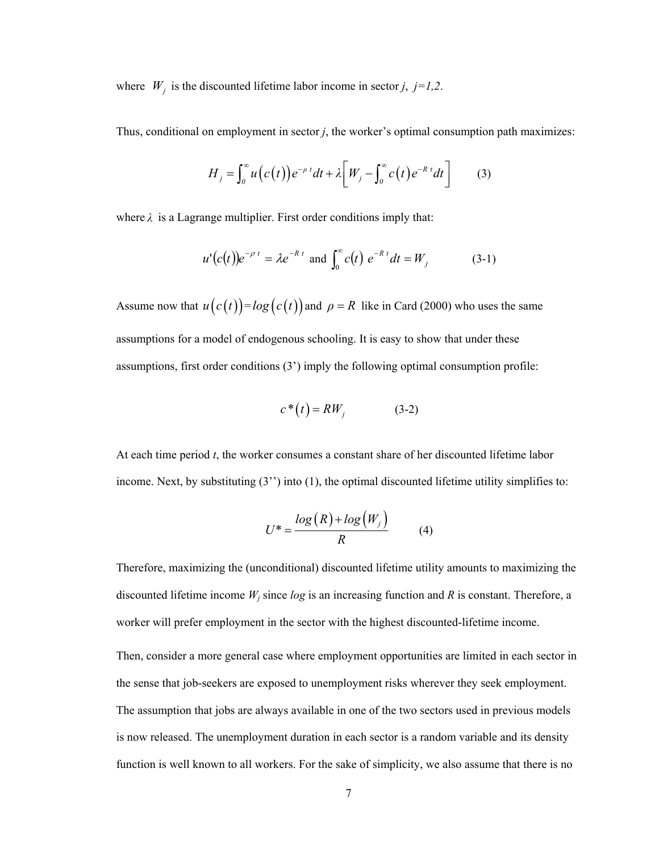where  $W_j$  is the discounted lifetime labor income in sector *j*, *j*=*1,2*.

Thus, conditional on employment in sector *j*, the worker's optimal consumption path maximizes:

$$
H_j = \int_0^\infty u\big(c(t)\big)e^{-\rho t}dt + \lambda \big[W_j - \int_0^\infty c(t) e^{-R t}dt\big]
$$
 (3)

where  $\lambda$  is a Lagrange multiplier. First order conditions imply that:

$$
u'(c(t))e^{-\rho t} = \lambda e^{-R t}
$$
 and  $\int_0^{\infty} c(t) e^{-R t} dt = W_j$  (3-1)

Assume now that  $u(c(t)) = log(c(t))$  and  $\rho = R$  like in Card (2000) who uses the same assumptions for a model of endogenous schooling. It is easy to show that under these assumptions, first order conditions (3') imply the following optimal consumption profile:

$$
c^*(t) = RW_j \tag{3-2}
$$

At each time period *t*, the worker consumes a constant share of her discounted lifetime labor income. Next, by substituting  $(3'')$  into  $(1)$ , the optimal discounted lifetime utility simplifies to:

$$
U^* = \frac{\log(R) + \log(W_j)}{R} \tag{4}
$$

Therefore, maximizing the (unconditional) discounted lifetime utility amounts to maximizing the discounted lifetime income  $W_i$  since  $log$  is an increasing function and  $R$  is constant. Therefore, a worker will prefer employment in the sector with the highest discounted-lifetime income.

Then, consider a more general case where employment opportunities are limited in each sector in the sense that job-seekers are exposed to unemployment risks wherever they seek employment. The assumption that jobs are always available in one of the two sectors used in previous models is now released. The unemployment duration in each sector is a random variable and its density function is well known to all workers. For the sake of simplicity, we also assume that there is no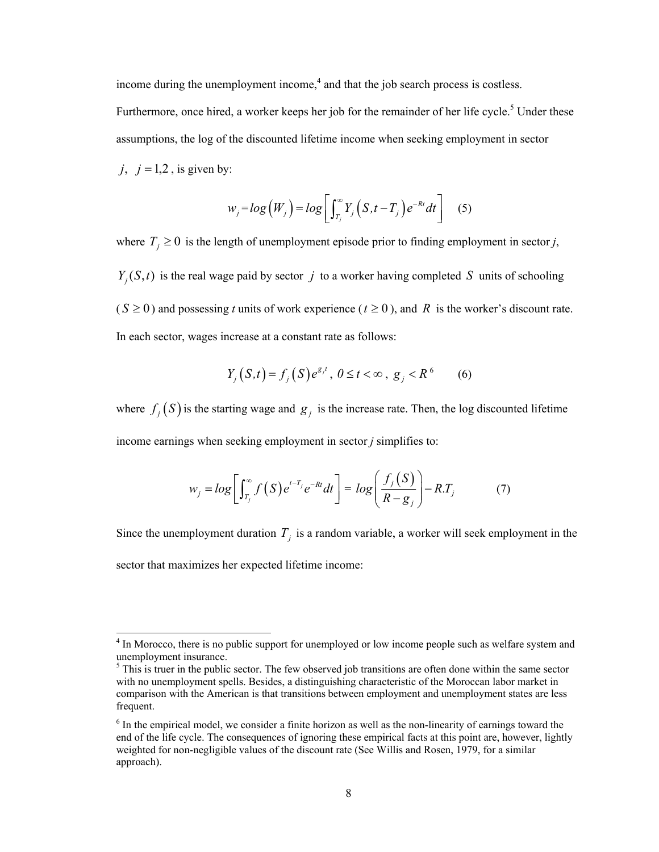income during the unemployment income, $<sup>4</sup>$  and that the job search process is costless.</sup> Furthermore, once hired, a worker keeps her job for the remainder of her life cycle.<sup>5</sup> Under these assumptions, the log of the discounted lifetime income when seeking employment in sector  $j, j = 1,2$ , is given by:

$$
w_j = log(W_j) = log\left[\int_{T_j}^{\infty} Y_j (S, t - T_j) e^{-Rt} dt\right]
$$
 (5)

where  $T_j \geq 0$  is the length of unemployment episode prior to finding employment in sector *j*,  $Y_j(S,t)$  is the real wage paid by sector *j* to a worker having completed *S* units of schooling  $(S \ge 0)$  and possessing *t* units of work experience ( $t \ge 0$ ), and R is the worker's discount rate. In each sector, wages increase at a constant rate as follows:

$$
Y_j(S,t) = f_j(S)e^{g_j t}, \ 0 \le t < \infty, \ g_j < R^6 \qquad (6)
$$

where  $f_i(S)$  is the starting wage and  $g_i$  is the increase rate. Then, the log discounted lifetime income earnings when seeking employment in sector *j* simplifies to:

$$
w_j = \log \left[ \int_{T_j}^{\infty} f(S) e^{t - T_j} e^{-Rt} dt \right] = \log \left( \frac{f_j(S)}{R - g_j} \right) - R.T_j \tag{7}
$$

Since the unemployment duration  $T_j$  is a random variable, a worker will seek employment in the sector that maximizes her expected lifetime income:

<sup>&</sup>lt;sup>4</sup> In Morocco, there is no public support for unemployed or low income people such as welfare system and unemployment insurance.

 $<sup>5</sup>$  This is truer in the public sector. The few observed job transitions are often done within the same sector</sup> with no unemployment spells. Besides, a distinguishing characteristic of the Moroccan labor market in comparison with the American is that transitions between employment and unemployment states are less frequent.

<sup>&</sup>lt;sup>6</sup> In the empirical model, we consider a finite horizon as well as the non-linearity of earnings toward the end of the life cycle. The consequences of ignoring these empirical facts at this point are, however, lightly weighted for non-negligible values of the discount rate (See Willis and Rosen, 1979, for a similar approach).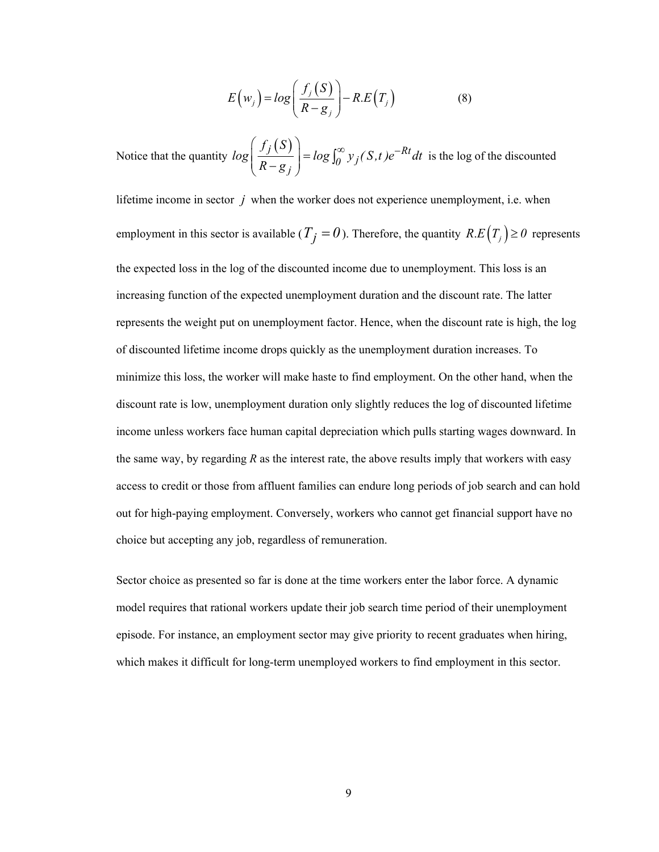$$
E(w_j) = log\left(\frac{f_j(S)}{R - g_j}\right) - R.E(T_j)
$$
\n(8)

Notice that the quantity  $log\left(\frac{f_j(S)}{R - g_j}\right) = log \int_0^\infty y_j(S, t) e^{-Rt} dt$  $\int_0^\infty y_j(S,t)e^{-\kappa t}dt$  is the log of the discounted

lifetime income in sector *j* when the worker does not experience unemployment, i.e. when employment in this sector is available ( $T_j = 0$ ). Therefore, the quantity  $R.E(T_j) \ge 0$  represents the expected loss in the log of the discounted income due to unemployment. This loss is an increasing function of the expected unemployment duration and the discount rate. The latter represents the weight put on unemployment factor. Hence, when the discount rate is high, the log of discounted lifetime income drops quickly as the unemployment duration increases. To minimize this loss, the worker will make haste to find employment. On the other hand, when the discount rate is low, unemployment duration only slightly reduces the log of discounted lifetime income unless workers face human capital depreciation which pulls starting wages downward. In the same way, by regarding *R* as the interest rate, the above results imply that workers with easy access to credit or those from affluent families can endure long periods of job search and can hold out for high-paying employment. Conversely, workers who cannot get financial support have no choice but accepting any job, regardless of remuneration.

Sector choice as presented so far is done at the time workers enter the labor force. A dynamic model requires that rational workers update their job search time period of their unemployment episode. For instance, an employment sector may give priority to recent graduates when hiring, which makes it difficult for long-term unemployed workers to find employment in this sector.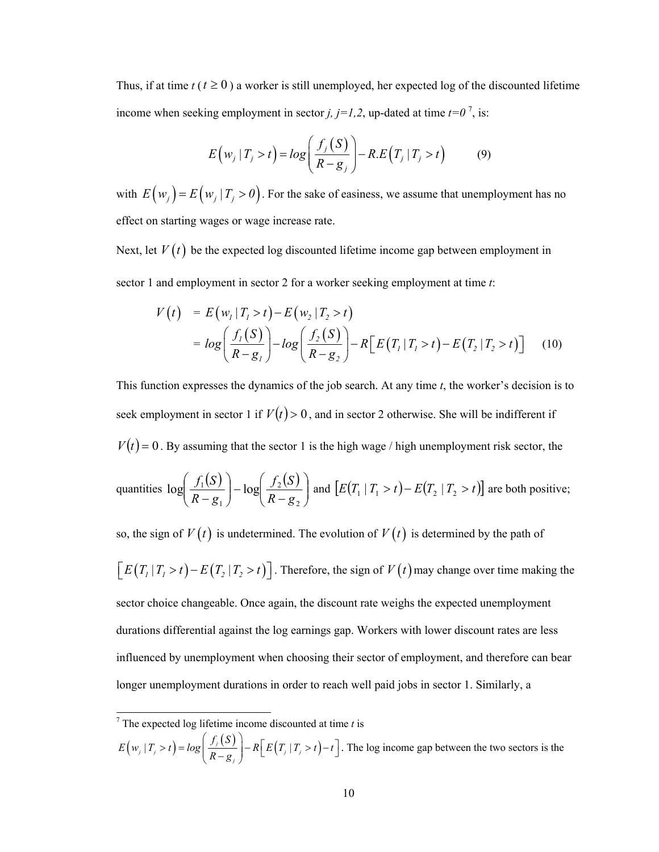Thus, if at time  $t (t \ge 0)$  a worker is still unemployed, her expected log of the discounted lifetime income when seeking employment in sector *j*,  $j=1,2$ , up-dated at time  $t=0^7$ , is:

$$
E\left(w_j \mid T_j > t\right) = \log\left(\frac{f_j\left(S\right)}{R - g_j}\right) - R.E\left(T_j \mid T_j > t\right) \tag{9}
$$

with  $E(w_i) = E(w_i | T_i > 0)$ . For the sake of easiness, we assume that unemployment has no effect on starting wages or wage increase rate.

Next, let  $V(t)$  be the expected log discounted lifetime income gap between employment in sector 1 and employment in sector 2 for a worker seeking employment at time *t*:

$$
V(t) = E(w_1 | T_1 > t) - E(w_2 | T_2 > t)
$$
  
=  $log\left(\frac{f_1(S)}{R - g_1}\right) - log\left(\frac{f_2(S)}{R - g_2}\right) - R\left[E(T_1 | T_1 > t) - E(T_2 | T_2 > t)\right]$  (10)

This function expresses the dynamics of the job search. At any time *t*, the worker's decision is to seek employment in sector 1 if  $V(t) > 0$ , and in sector 2 otherwise. She will be indifferent if  $V(t) = 0$ . By assuming that the sector 1 is the high wage / high unemployment risk sector, the

quantities 
$$
\log \left( \frac{f_1(S)}{R - g_1} \right) - \log \left( \frac{f_2(S)}{R - g_2} \right)
$$
 and  $[E(T_1 | T_1 > t) - E(T_2 | T_2 > t)]$  are both positive;

so, the sign of  $V(t)$  is undetermined. The evolution of  $V(t)$  is determined by the path of  $\left[ E(T_1 | T_1 > t) - E(T_2 | T_2 > t) \right]$ . Therefore, the sign of  $V(t)$  may change over time making the sector choice changeable. Once again, the discount rate weighs the expected unemployment durations differential against the log earnings gap. Workers with lower discount rates are less influenced by unemployment when choosing their sector of employment, and therefore can bear longer unemployment durations in order to reach well paid jobs in sector 1. Similarly, a

$$
E\left(w_j \mid T_j > t\right) = \log\left(\frac{f_j(S)}{R - g_j}\right) - R\left[E\left(T_j \mid T_j > t\right) - t\right].
$$
 The log income gap between the two sectors is the

 7 The expected log lifetime income discounted at time *t* is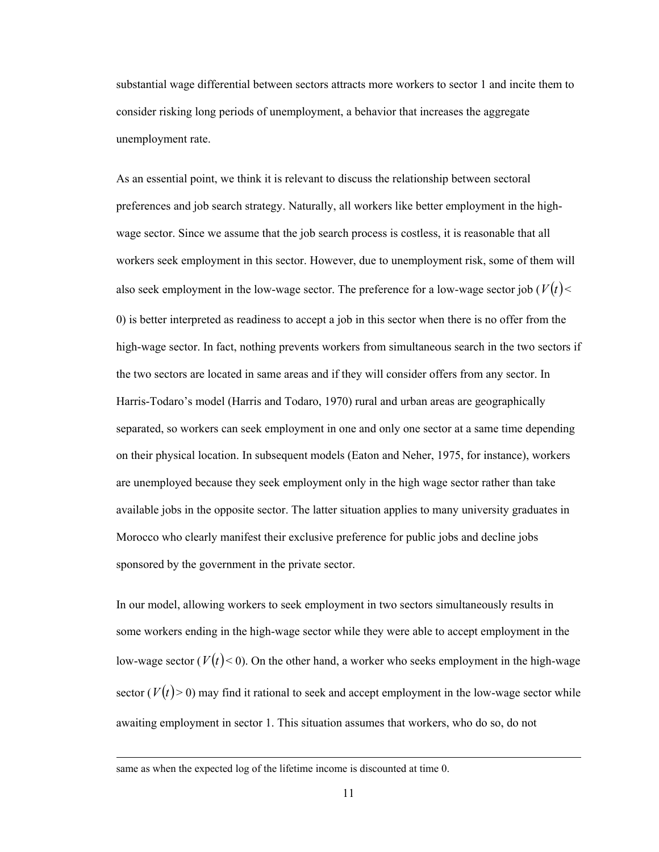substantial wage differential between sectors attracts more workers to sector 1 and incite them to consider risking long periods of unemployment, a behavior that increases the aggregate unemployment rate.

As an essential point, we think it is relevant to discuss the relationship between sectoral preferences and job search strategy. Naturally, all workers like better employment in the highwage sector. Since we assume that the job search process is costless, it is reasonable that all workers seek employment in this sector. However, due to unemployment risk, some of them will also seek employment in the low-wage sector. The preference for a low-wage sector job ( $V(t)$  < 0) is better interpreted as readiness to accept a job in this sector when there is no offer from the high-wage sector. In fact, nothing prevents workers from simultaneous search in the two sectors if the two sectors are located in same areas and if they will consider offers from any sector. In Harris-Todaro's model (Harris and Todaro, 1970) rural and urban areas are geographically separated, so workers can seek employment in one and only one sector at a same time depending on their physical location. In subsequent models (Eaton and Neher, 1975, for instance), workers are unemployed because they seek employment only in the high wage sector rather than take available jobs in the opposite sector. The latter situation applies to many university graduates in Morocco who clearly manifest their exclusive preference for public jobs and decline jobs sponsored by the government in the private sector.

In our model, allowing workers to seek employment in two sectors simultaneously results in some workers ending in the high-wage sector while they were able to accept employment in the low-wage sector  $(V(t) < 0)$ . On the other hand, a worker who seeks employment in the high-wage sector  $(V(t) > 0)$  may find it rational to seek and accept employment in the low-wage sector while awaiting employment in sector 1. This situation assumes that workers, who do so, do not

 $\overline{a}$ 

same as when the expected log of the lifetime income is discounted at time 0.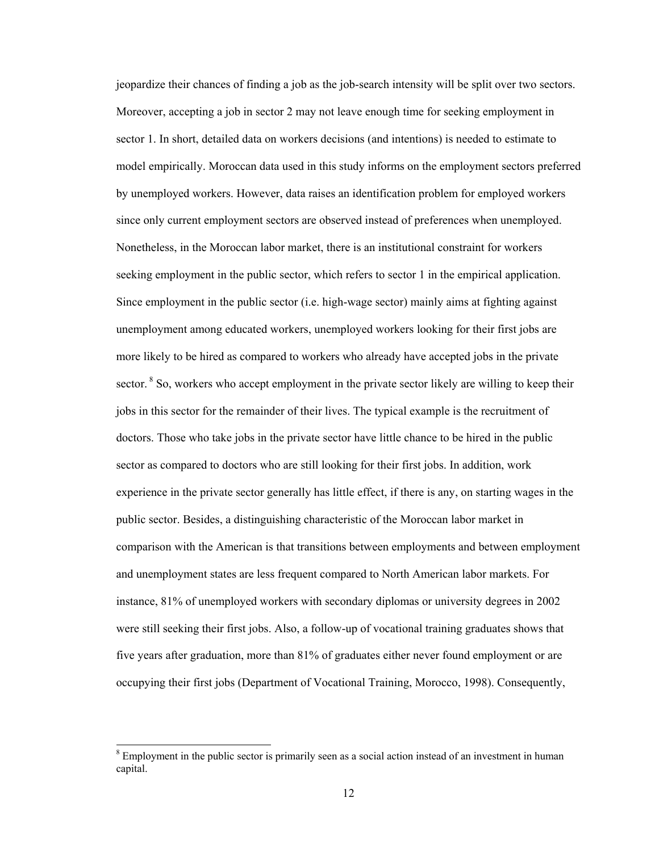jeopardize their chances of finding a job as the job-search intensity will be split over two sectors. Moreover, accepting a job in sector 2 may not leave enough time for seeking employment in sector 1. In short, detailed data on workers decisions (and intentions) is needed to estimate to model empirically. Moroccan data used in this study informs on the employment sectors preferred by unemployed workers. However, data raises an identification problem for employed workers since only current employment sectors are observed instead of preferences when unemployed. Nonetheless, in the Moroccan labor market, there is an institutional constraint for workers seeking employment in the public sector, which refers to sector 1 in the empirical application. Since employment in the public sector (i.e. high-wage sector) mainly aims at fighting against unemployment among educated workers, unemployed workers looking for their first jobs are more likely to be hired as compared to workers who already have accepted jobs in the private sector. <sup>8</sup> So, workers who accept employment in the private sector likely are willing to keep their jobs in this sector for the remainder of their lives. The typical example is the recruitment of doctors. Those who take jobs in the private sector have little chance to be hired in the public sector as compared to doctors who are still looking for their first jobs. In addition, work experience in the private sector generally has little effect, if there is any, on starting wages in the public sector. Besides, a distinguishing characteristic of the Moroccan labor market in comparison with the American is that transitions between employments and between employment and unemployment states are less frequent compared to North American labor markets. For instance, 81% of unemployed workers with secondary diplomas or university degrees in 2002 were still seeking their first jobs. Also, a follow-up of vocational training graduates shows that five years after graduation, more than 81% of graduates either never found employment or are occupying their first jobs (Department of Vocational Training, Morocco, 1998). Consequently,

 $\overline{a}$ 

<sup>&</sup>lt;sup>8</sup> Employment in the public sector is primarily seen as a social action instead of an investment in human capital.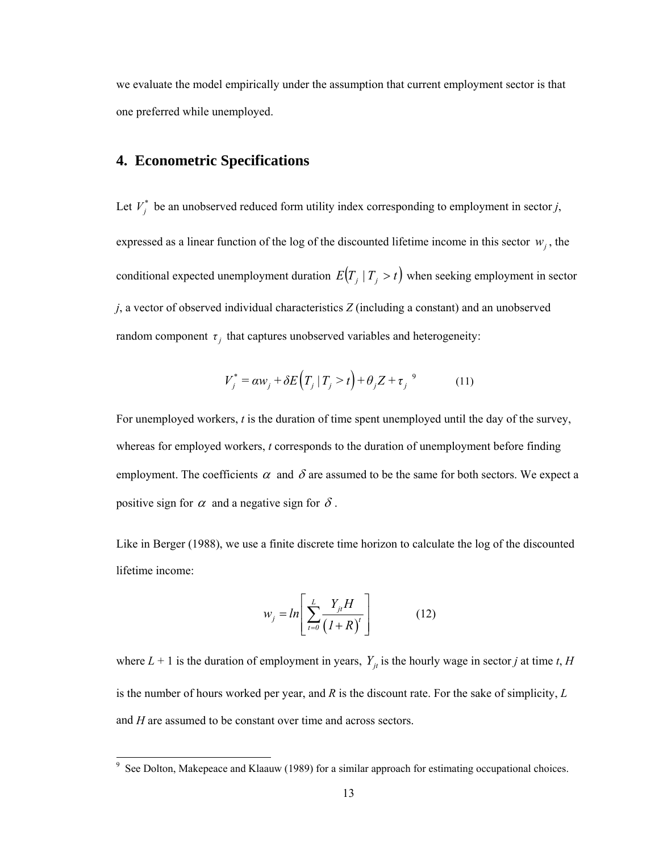we evaluate the model empirically under the assumption that current employment sector is that one preferred while unemployed.

#### **4. Econometric Specifications**

Let  $V_j^*$  be an unobserved reduced form utility index corresponding to employment in sector *j*, expressed as a linear function of the log of the discounted lifetime income in this sector  $w_i$ , the conditional expected unemployment duration  $E(T_j | T_j > t)$  when seeking employment in sector *j*, a vector of observed individual characteristics *Z* (including a constant) and an unobserved random component  $\tau$ <sub>*i*</sub> that captures unobserved variables and heterogeneity:

$$
V_j^* = \alpha w_j + \delta E(T_j | T_j > t) + \theta_j Z + \tau_j^9 \tag{11}
$$

For unemployed workers, *t* is the duration of time spent unemployed until the day of the survey, whereas for employed workers, *t* corresponds to the duration of unemployment before finding employment. The coefficients  $\alpha$  and  $\delta$  are assumed to be the same for both sectors. We expect a positive sign for  $\alpha$  and a negative sign for  $\delta$ .

Like in Berger (1988), we use a finite discrete time horizon to calculate the log of the discounted lifetime income:

$$
w_j = ln\left[\sum_{t=0}^{L} \frac{Y_{jt} H}{(1+R)^t}\right]
$$
 (12)

where  $L + 1$  is the duration of employment in years,  $Y_{it}$  is the hourly wage in sector *j* at time *t*, *H* is the number of hours worked per year, and *R* is the discount rate. For the sake of simplicity, *L* and *H* are assumed to be constant over time and across sectors.

<sup>&</sup>lt;sup>9</sup> See Dolton, Makepeace and Klaauw (1989) for a similar approach for estimating occupational choices.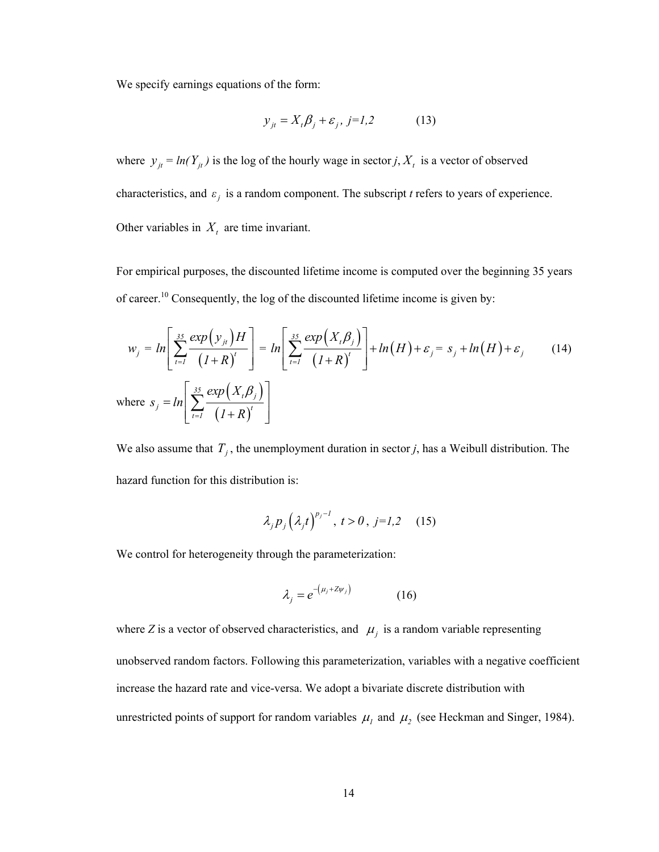We specify earnings equations of the form:

$$
y_{jt} = X_t \beta_j + \varepsilon_j, j = l, 2 \tag{13}
$$

where  $y_{jt} = ln(Y_{jt})$  is the log of the hourly wage in sector *j*,  $X_t$  is a vector of observed characteristics, and  $\varepsilon_j$  is a random component. The subscript *t* refers to years of experience. Other variables in  $X_t$  are time invariant.

For empirical purposes, the discounted lifetime income is computed over the beginning 35 years of career.<sup>10</sup> Consequently, the log of the discounted lifetime income is given by:

$$
w_j = ln\left[\sum_{t=1}^{35} \frac{\exp(y_{jt})H}{(1+R)^t}\right] = ln\left[\sum_{t=1}^{35} \frac{\exp(X_t \beta_j)}{(1+R)^t}\right] + ln(H) + \varepsilon_j = s_j + ln(H) + \varepsilon_j \qquad (14)
$$
  
where  $s_j = ln\left[\sum_{t=1}^{35} \frac{\exp(X_t \beta_j)}{(1+R)^t}\right]$ 

We also assume that  $T_j$ , the unemployment duration in sector *j*, has a Weibull distribution. The hazard function for this distribution is:

$$
\lambda_j p_j \left(\lambda_j t\right)^{p_j - l}, \ t > 0, \ j = l, 2 \quad (15)
$$

We control for heterogeneity through the parameterization:

$$
\lambda_j = e^{-(\mu_j + Z\psi_j)} \tag{16}
$$

where *Z* is a vector of observed characteristics, and  $\mu_j$  is a random variable representing unobserved random factors. Following this parameterization, variables with a negative coefficient increase the hazard rate and vice-versa. We adopt a bivariate discrete distribution with unrestricted points of support for random variables  $\mu_1$  and  $\mu_2$  (see Heckman and Singer, 1984).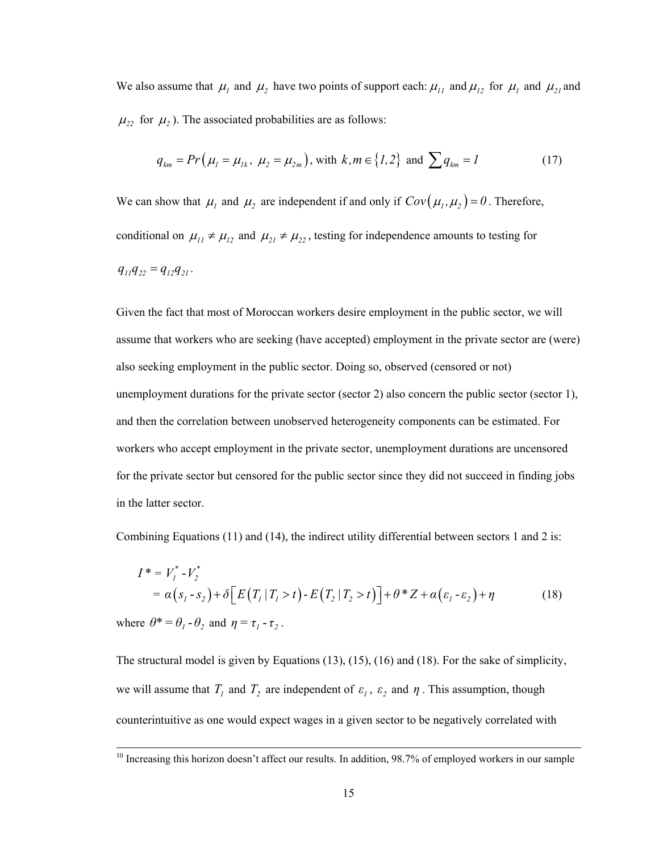We also assume that  $\mu_1$  and  $\mu_2$  have two points of support each:  $\mu_{11}$  and  $\mu_{12}$  for  $\mu_1$  and  $\mu_{21}$  and  $\mu_{22}$  for  $\mu_2$ ). The associated probabilities are as follows:

$$
q_{km} = Pr(\mu_1 = \mu_{1k}, \ \mu_2 = \mu_{2m}),
$$
 with  $k, m \in \{1, 2\}$  and  $\sum q_{km} = 1$  (17)

We can show that  $\mu_1$  and  $\mu_2$  are independent if and only if  $Cov(\mu_1, \mu_2) = 0$ . Therefore, conditional on  $\mu_{11} \neq \mu_{12}$  and  $\mu_{21} \neq \mu_{22}$ , testing for independence amounts to testing for  $q_{11}q_{22} = q_{12}q_{21}$ .

Given the fact that most of Moroccan workers desire employment in the public sector, we will assume that workers who are seeking (have accepted) employment in the private sector are (were) also seeking employment in the public sector. Doing so, observed (censored or not) unemployment durations for the private sector (sector 2) also concern the public sector (sector 1), and then the correlation between unobserved heterogeneity components can be estimated. For workers who accept employment in the private sector, unemployment durations are uncensored for the private sector but censored for the public sector since they did not succeed in finding jobs in the latter sector.

Combining Equations (11) and (14), the indirect utility differential between sectors 1 and 2 is:

$$
I^* = V_I^* - V_2^*
$$
  
=  $\alpha(s_I - s_2) + \delta \Big[ E(T_I | T_I > t) - E(T_2 | T_2 > t) \Big] + \theta^* Z + \alpha(\varepsilon_I - \varepsilon_2) + \eta$  (18)

where  $\theta^* = \theta_1 - \theta_2$  and  $\eta = \tau_1 - \tau_2$ .

The structural model is given by Equations (13), (15), (16) and (18). For the sake of simplicity, we will assume that  $T_1$  and  $T_2$  are independent of  $\varepsilon_1$ ,  $\varepsilon_2$  and  $\eta$ . This assumption, though counterintuitive as one would expect wages in a given sector to be negatively correlated with

 $\frac{10}{10}$  Increasing this horizon doesn't affect our results. In addition, 98.7% of employed workers in our sample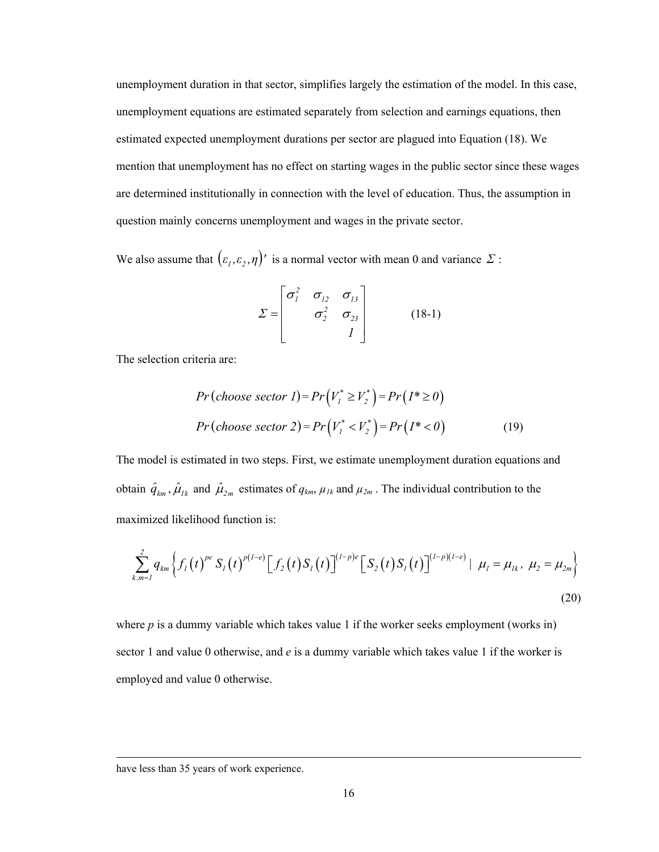unemployment duration in that sector, simplifies largely the estimation of the model. In this case, unemployment equations are estimated separately from selection and earnings equations, then estimated expected unemployment durations per sector are plagued into Equation (18). We mention that unemployment has no effect on starting wages in the public sector since these wages are determined institutionally in connection with the level of education. Thus, the assumption in question mainly concerns unemployment and wages in the private sector.

We also assume that  $(\varepsilon_1, \varepsilon_2, \eta)'$  is a normal vector with mean 0 and variance  $\Sigma$ :

$$
\Sigma = \begin{bmatrix} \sigma_1^2 & \sigma_{12} & \sigma_{13} \\ \sigma_2^2 & \sigma_{23} \\ I \end{bmatrix}
$$
 (18-1)

The selection criteria are:

$$
Pr(\text{choose sector } I) = Pr(V_1^* \ge V_2^*) = Pr(I^* \ge 0)
$$
  

$$
Pr(\text{choose sector } 2) = Pr(V_1^* < V_2^*) = Pr(I^* < 0)
$$
 (19)

The model is estimated in two steps. First, we estimate unemployment duration equations and obtain  $\hat{q}_{km}$ ,  $\hat{\mu}_{lk}$  and  $\hat{\mu}_{2m}$  estimates of  $q_{km}$ ,  $\mu_{lk}$  and  $\mu_{2m}$ . The individual contribution to the maximized likelihood function is:

$$
\sum_{k,m=1}^{2} q_{km} \left\{ f_I(t)^{pe} S_I(t)^{p(I-e)} \Big[ f_2(t) S_I(t) \Big]^{(I-p)e} \Big[ S_2(t) S_I(t) \Big]^{(I-p)(I-e)} \Big| \mu_I = \mu_{Ik}, \mu_2 = \mu_{2m} \right\}
$$
(20)

where  $p$  is a dummy variable which takes value 1 if the worker seeks employment (works in) sector 1 and value 0 otherwise, and *e* is a dummy variable which takes value 1 if the worker is employed and value 0 otherwise.

 $\overline{a}$ 

have less than 35 years of work experience.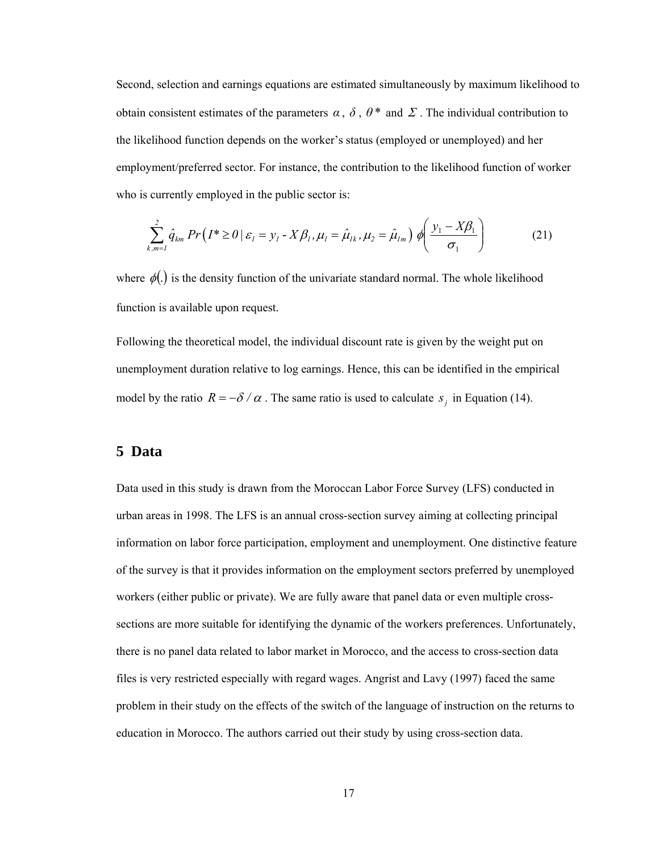Second, selection and earnings equations are estimated simultaneously by maximum likelihood to obtain consistent estimates of the parameters  $\alpha$ ,  $\delta$ ,  $\theta^*$  and  $\Sigma$ . The individual contribution to the likelihood function depends on the worker's status (employed or unemployed) and her employment/preferred sector. For instance, the contribution to the likelihood function of worker who is currently employed in the public sector is:

$$
\sum_{k,m=1}^{2} \hat{q}_{km} \Pr\left(I^* \geq 0 \,|\, \varepsilon_1 = y_1 - X\beta_1, \mu_1 = \hat{\mu}_{1k}, \mu_2 = \hat{\mu}_{1m}\right) \phi\!\left(\frac{y_1 - X\beta_1}{\sigma_1}\right) \tag{21}
$$

where  $\phi(.)$  is the density function of the univariate standard normal. The whole likelihood function is available upon request.

Following the theoretical model, the individual discount rate is given by the weight put on unemployment duration relative to log earnings. Hence, this can be identified in the empirical model by the ratio  $R = -\delta/\alpha$ . The same ratio is used to calculate  $s_i$  in Equation (14).

#### **5 Data**

Data used in this study is drawn from the Moroccan Labor Force Survey (LFS) conducted in urban areas in 1998. The LFS is an annual cross-section survey aiming at collecting principal information on labor force participation, employment and unemployment. One distinctive feature of the survey is that it provides information on the employment sectors preferred by unemployed workers (either public or private). We are fully aware that panel data or even multiple crosssections are more suitable for identifying the dynamic of the workers preferences. Unfortunately, there is no panel data related to labor market in Morocco, and the access to cross-section data files is very restricted especially with regard wages. Angrist and Lavy (1997) faced the same problem in their study on the effects of the switch of the language of instruction on the returns to education in Morocco. The authors carried out their study by using cross-section data.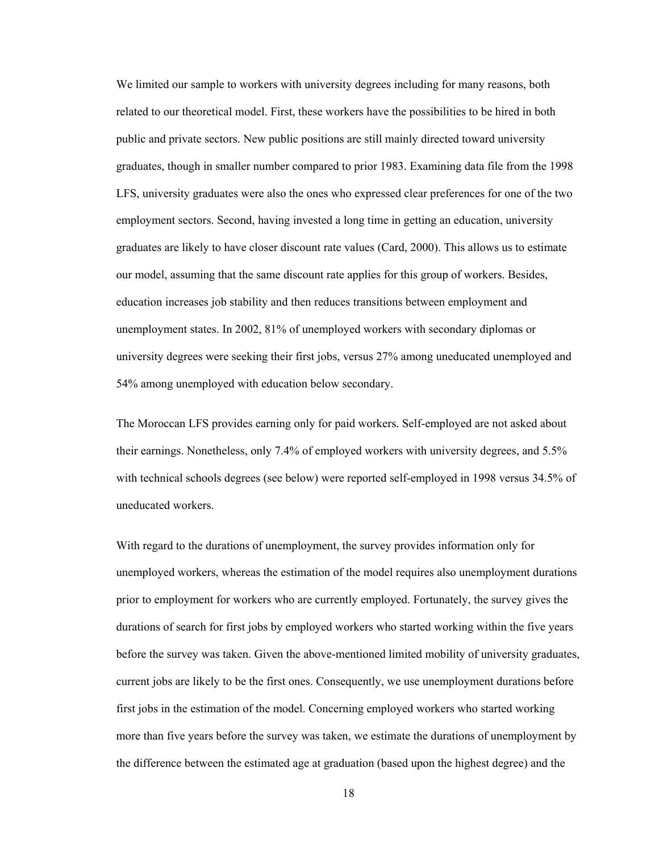We limited our sample to workers with university degrees including for many reasons, both related to our theoretical model. First, these workers have the possibilities to be hired in both public and private sectors. New public positions are still mainly directed toward university graduates, though in smaller number compared to prior 1983. Examining data file from the 1998 LFS, university graduates were also the ones who expressed clear preferences for one of the two employment sectors. Second, having invested a long time in getting an education, university graduates are likely to have closer discount rate values (Card, 2000). This allows us to estimate our model, assuming that the same discount rate applies for this group of workers. Besides, education increases job stability and then reduces transitions between employment and unemployment states. In 2002, 81% of unemployed workers with secondary diplomas or university degrees were seeking their first jobs, versus 27% among uneducated unemployed and 54% among unemployed with education below secondary.

The Moroccan LFS provides earning only for paid workers. Self-employed are not asked about their earnings. Nonetheless, only 7.4% of employed workers with university degrees, and 5.5% with technical schools degrees (see below) were reported self-employed in 1998 versus 34.5% of uneducated workers.

With regard to the durations of unemployment, the survey provides information only for unemployed workers, whereas the estimation of the model requires also unemployment durations prior to employment for workers who are currently employed. Fortunately, the survey gives the durations of search for first jobs by employed workers who started working within the five years before the survey was taken. Given the above-mentioned limited mobility of university graduates, current jobs are likely to be the first ones. Consequently, we use unemployment durations before first jobs in the estimation of the model. Concerning employed workers who started working more than five years before the survey was taken, we estimate the durations of unemployment by the difference between the estimated age at graduation (based upon the highest degree) and the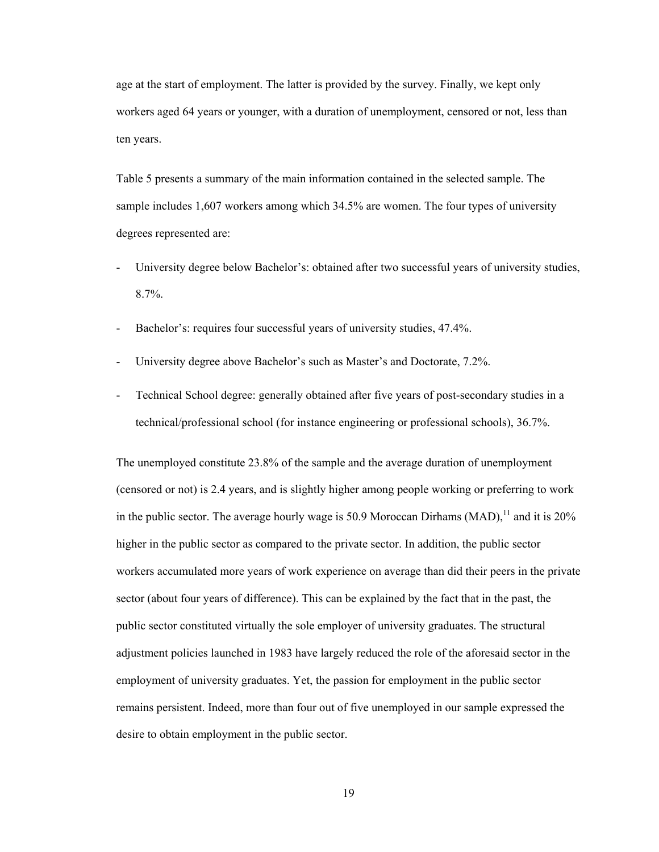age at the start of employment. The latter is provided by the survey. Finally, we kept only workers aged 64 years or younger, with a duration of unemployment, censored or not, less than ten years.

Table 5 presents a summary of the main information contained in the selected sample. The sample includes 1,607 workers among which 34.5% are women. The four types of university degrees represented are:

- University degree below Bachelor's: obtained after two successful years of university studies, 8.7%.
- Bachelor's: requires four successful years of university studies, 47.4%.
- University degree above Bachelor's such as Master's and Doctorate, 7.2%.
- Technical School degree: generally obtained after five years of post-secondary studies in a technical/professional school (for instance engineering or professional schools), 36.7%.

The unemployed constitute 23.8% of the sample and the average duration of unemployment (censored or not) is 2.4 years, and is slightly higher among people working or preferring to work in the public sector. The average hourly wage is 50.9 Moroccan Dirhams (MAD),  $^{11}$  and it is 20% higher in the public sector as compared to the private sector. In addition, the public sector workers accumulated more years of work experience on average than did their peers in the private sector (about four years of difference). This can be explained by the fact that in the past, the public sector constituted virtually the sole employer of university graduates. The structural adjustment policies launched in 1983 have largely reduced the role of the aforesaid sector in the employment of university graduates. Yet, the passion for employment in the public sector remains persistent. Indeed, more than four out of five unemployed in our sample expressed the desire to obtain employment in the public sector.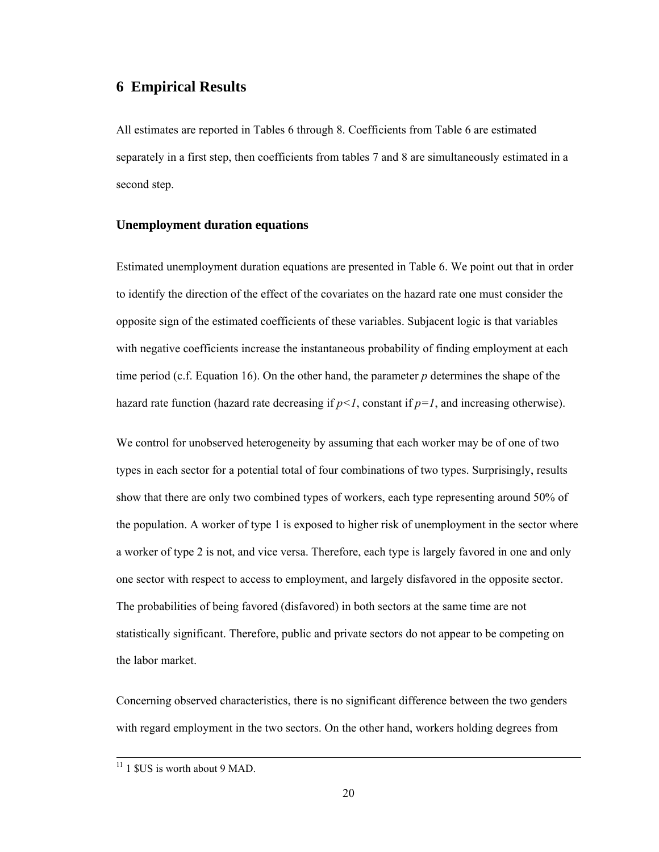#### **6 Empirical Results**

All estimates are reported in Tables 6 through 8. Coefficients from Table 6 are estimated separately in a first step, then coefficients from tables 7 and 8 are simultaneously estimated in a second step.

#### **Unemployment duration equations**

Estimated unemployment duration equations are presented in Table 6. We point out that in order to identify the direction of the effect of the covariates on the hazard rate one must consider the opposite sign of the estimated coefficients of these variables. Subjacent logic is that variables with negative coefficients increase the instantaneous probability of finding employment at each time period (c.f. Equation 16). On the other hand, the parameter *p* determines the shape of the hazard rate function (hazard rate decreasing if  $p<1$ , constant if  $p=1$ , and increasing otherwise).

We control for unobserved heterogeneity by assuming that each worker may be of one of two types in each sector for a potential total of four combinations of two types. Surprisingly, results show that there are only two combined types of workers, each type representing around 50% of the population. A worker of type 1 is exposed to higher risk of unemployment in the sector where a worker of type 2 is not, and vice versa. Therefore, each type is largely favored in one and only one sector with respect to access to employment, and largely disfavored in the opposite sector. The probabilities of being favored (disfavored) in both sectors at the same time are not statistically significant. Therefore, public and private sectors do not appear to be competing on the labor market.

Concerning observed characteristics, there is no significant difference between the two genders with regard employment in the two sectors. On the other hand, workers holding degrees from

 $11$  1 \$US is worth about 9 MAD.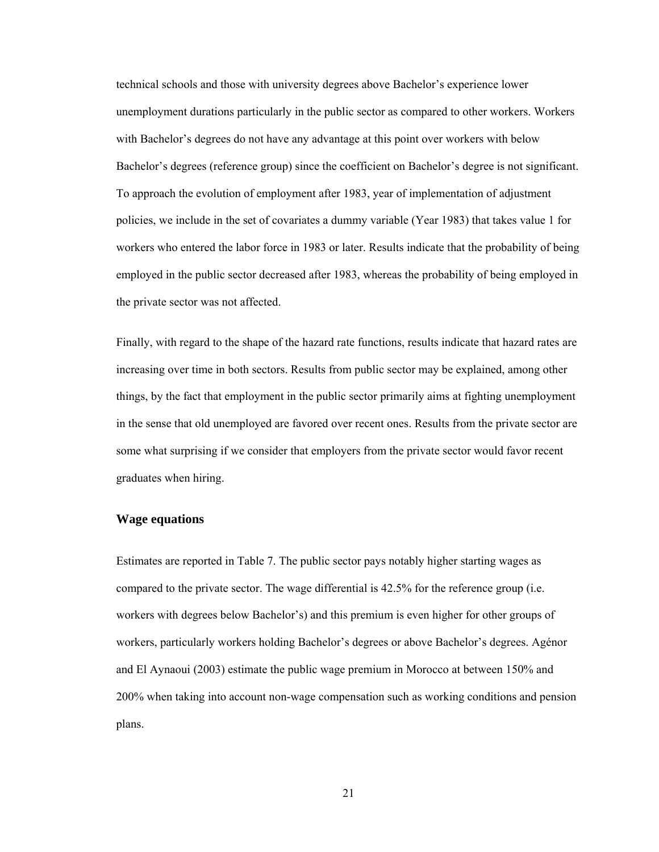technical schools and those with university degrees above Bachelor's experience lower unemployment durations particularly in the public sector as compared to other workers. Workers with Bachelor's degrees do not have any advantage at this point over workers with below Bachelor's degrees (reference group) since the coefficient on Bachelor's degree is not significant. To approach the evolution of employment after 1983, year of implementation of adjustment policies, we include in the set of covariates a dummy variable (Year 1983) that takes value 1 for workers who entered the labor force in 1983 or later. Results indicate that the probability of being employed in the public sector decreased after 1983, whereas the probability of being employed in the private sector was not affected.

Finally, with regard to the shape of the hazard rate functions, results indicate that hazard rates are increasing over time in both sectors. Results from public sector may be explained, among other things, by the fact that employment in the public sector primarily aims at fighting unemployment in the sense that old unemployed are favored over recent ones. Results from the private sector are some what surprising if we consider that employers from the private sector would favor recent graduates when hiring.

#### **Wage equations**

Estimates are reported in Table 7. The public sector pays notably higher starting wages as compared to the private sector. The wage differential is 42.5% for the reference group (i.e. workers with degrees below Bachelor's) and this premium is even higher for other groups of workers, particularly workers holding Bachelor's degrees or above Bachelor's degrees. Agénor and El Aynaoui (2003) estimate the public wage premium in Morocco at between 150% and 200% when taking into account non-wage compensation such as working conditions and pension plans.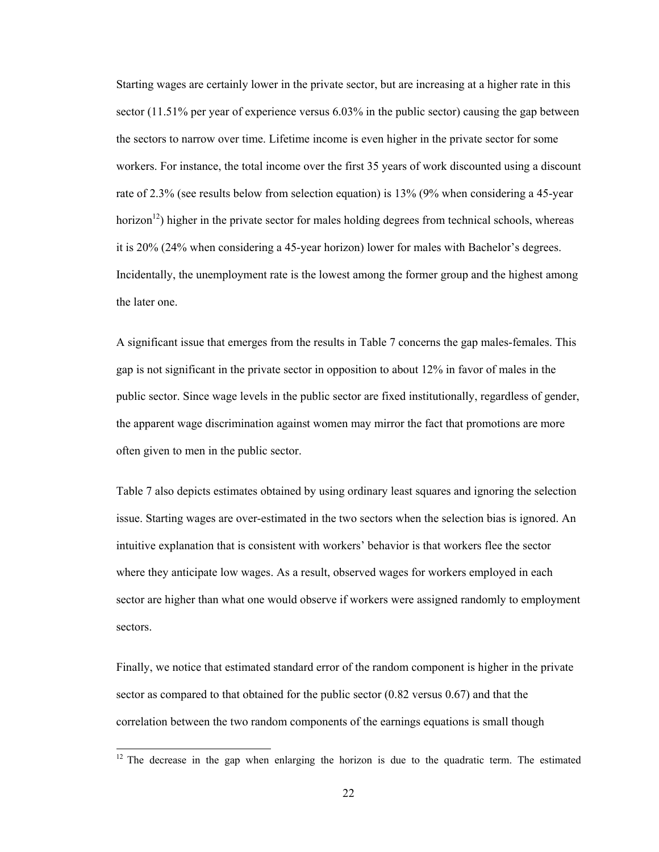Starting wages are certainly lower in the private sector, but are increasing at a higher rate in this sector (11.51% per year of experience versus 6.03% in the public sector) causing the gap between the sectors to narrow over time. Lifetime income is even higher in the private sector for some workers. For instance, the total income over the first 35 years of work discounted using a discount rate of 2.3% (see results below from selection equation) is 13% (9% when considering a 45-year horizon<sup>12</sup>) higher in the private sector for males holding degrees from technical schools, whereas it is 20% (24% when considering a 45-year horizon) lower for males with Bachelor's degrees. Incidentally, the unemployment rate is the lowest among the former group and the highest among the later one.

A significant issue that emerges from the results in Table 7 concerns the gap males-females. This gap is not significant in the private sector in opposition to about 12% in favor of males in the public sector. Since wage levels in the public sector are fixed institutionally, regardless of gender, the apparent wage discrimination against women may mirror the fact that promotions are more often given to men in the public sector.

Table 7 also depicts estimates obtained by using ordinary least squares and ignoring the selection issue. Starting wages are over-estimated in the two sectors when the selection bias is ignored. An intuitive explanation that is consistent with workers' behavior is that workers flee the sector where they anticipate low wages. As a result, observed wages for workers employed in each sector are higher than what one would observe if workers were assigned randomly to employment sectors.

Finally, we notice that estimated standard error of the random component is higher in the private sector as compared to that obtained for the public sector (0.82 versus 0.67) and that the correlation between the two random components of the earnings equations is small though

 $\overline{a}$ 

 $12$  The decrease in the gap when enlarging the horizon is due to the quadratic term. The estimated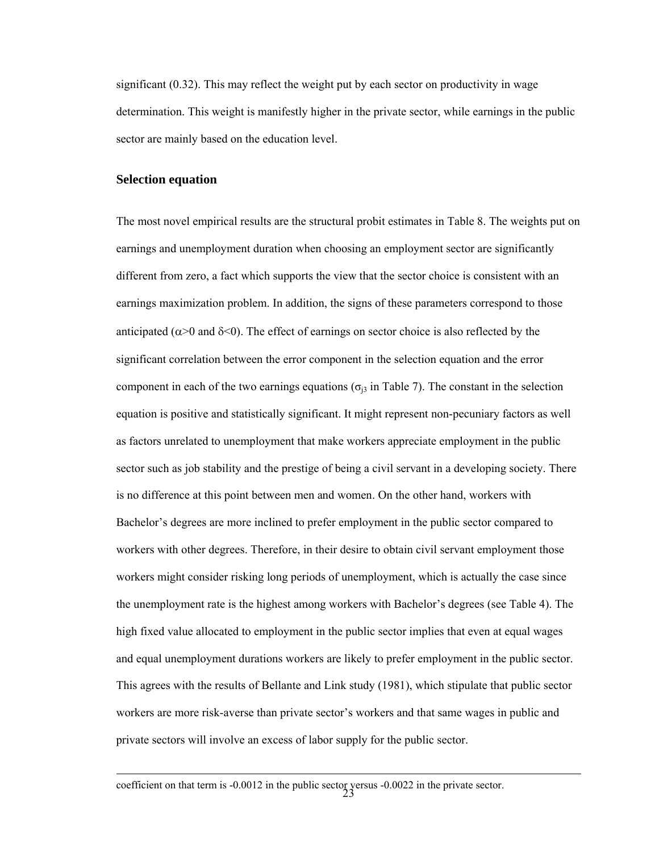significant (0.32). This may reflect the weight put by each sector on productivity in wage determination. This weight is manifestly higher in the private sector, while earnings in the public sector are mainly based on the education level.

#### **Selection equation**

 $\overline{a}$ 

The most novel empirical results are the structural probit estimates in Table 8. The weights put on earnings and unemployment duration when choosing an employment sector are significantly different from zero, a fact which supports the view that the sector choice is consistent with an earnings maximization problem. In addition, the signs of these parameters correspond to those anticipated ( $\alpha$ >0 and  $\delta$ <0). The effect of earnings on sector choice is also reflected by the significant correlation between the error component in the selection equation and the error component in each of the two earnings equations ( $\sigma_{i3}$  in Table 7). The constant in the selection equation is positive and statistically significant. It might represent non-pecuniary factors as well as factors unrelated to unemployment that make workers appreciate employment in the public sector such as job stability and the prestige of being a civil servant in a developing society. There is no difference at this point between men and women. On the other hand, workers with Bachelor's degrees are more inclined to prefer employment in the public sector compared to workers with other degrees. Therefore, in their desire to obtain civil servant employment those workers might consider risking long periods of unemployment, which is actually the case since the unemployment rate is the highest among workers with Bachelor's degrees (see Table 4). The high fixed value allocated to employment in the public sector implies that even at equal wages and equal unemployment durations workers are likely to prefer employment in the public sector. This agrees with the results of Bellante and Link study (1981), which stipulate that public sector workers are more risk-averse than private sector's workers and that same wages in public and private sectors will involve an excess of labor supply for the public sector.

coefficient on that term is -0.0012 in the public sector versus -0.0022 in the private sector.<br>23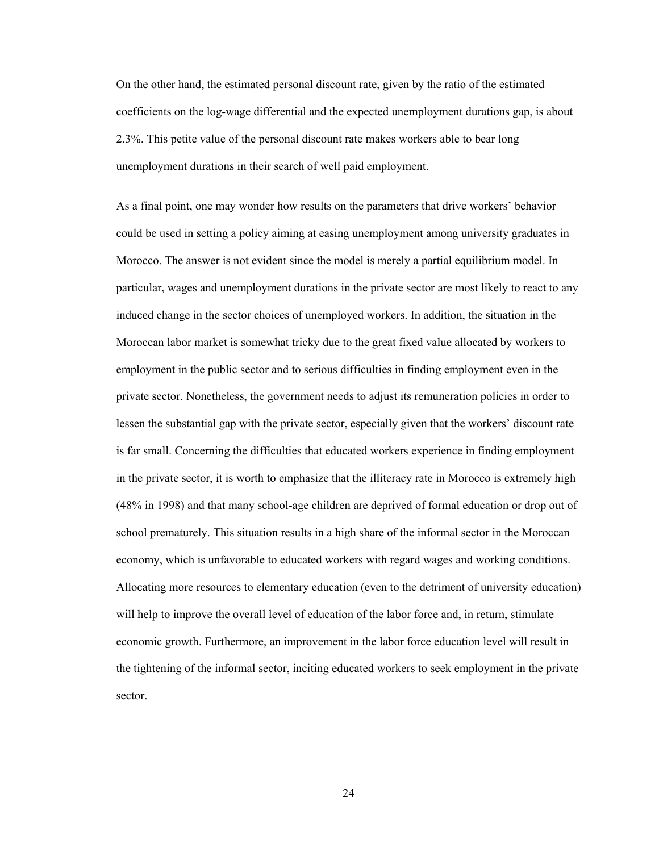On the other hand, the estimated personal discount rate, given by the ratio of the estimated coefficients on the log-wage differential and the expected unemployment durations gap, is about 2.3%. This petite value of the personal discount rate makes workers able to bear long unemployment durations in their search of well paid employment.

As a final point, one may wonder how results on the parameters that drive workers' behavior could be used in setting a policy aiming at easing unemployment among university graduates in Morocco. The answer is not evident since the model is merely a partial equilibrium model. In particular, wages and unemployment durations in the private sector are most likely to react to any induced change in the sector choices of unemployed workers. In addition, the situation in the Moroccan labor market is somewhat tricky due to the great fixed value allocated by workers to employment in the public sector and to serious difficulties in finding employment even in the private sector. Nonetheless, the government needs to adjust its remuneration policies in order to lessen the substantial gap with the private sector, especially given that the workers' discount rate is far small. Concerning the difficulties that educated workers experience in finding employment in the private sector, it is worth to emphasize that the illiteracy rate in Morocco is extremely high (48% in 1998) and that many school-age children are deprived of formal education or drop out of school prematurely. This situation results in a high share of the informal sector in the Moroccan economy, which is unfavorable to educated workers with regard wages and working conditions. Allocating more resources to elementary education (even to the detriment of university education) will help to improve the overall level of education of the labor force and, in return, stimulate economic growth. Furthermore, an improvement in the labor force education level will result in the tightening of the informal sector, inciting educated workers to seek employment in the private sector.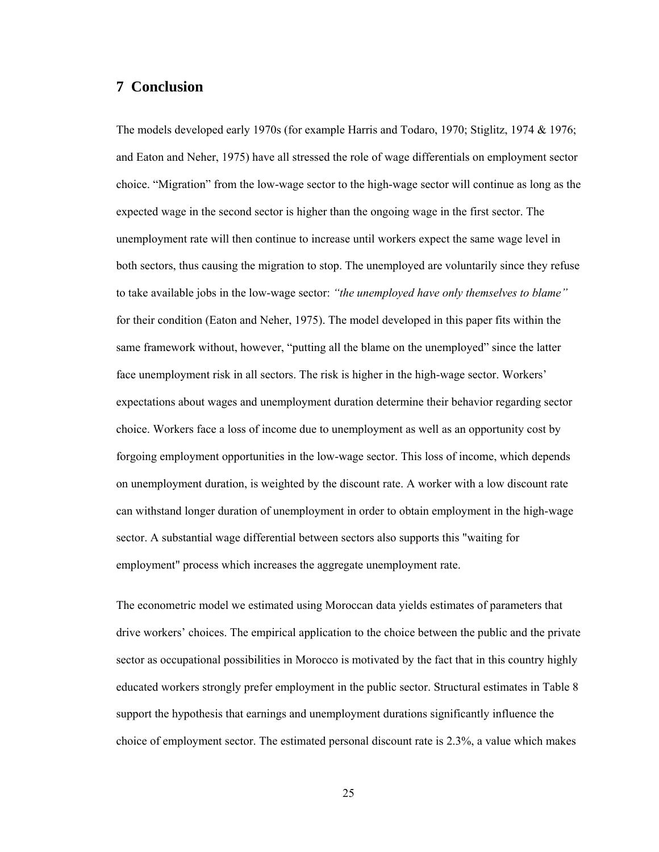#### **7 Conclusion**

The models developed early 1970s (for example Harris and Todaro, 1970; Stiglitz, 1974 & 1976; and Eaton and Neher, 1975) have all stressed the role of wage differentials on employment sector choice. "Migration" from the low-wage sector to the high-wage sector will continue as long as the expected wage in the second sector is higher than the ongoing wage in the first sector. The unemployment rate will then continue to increase until workers expect the same wage level in both sectors, thus causing the migration to stop. The unemployed are voluntarily since they refuse to take available jobs in the low-wage sector: *"the unemployed have only themselves to blame"* for their condition (Eaton and Neher, 1975). The model developed in this paper fits within the same framework without, however, "putting all the blame on the unemployed" since the latter face unemployment risk in all sectors. The risk is higher in the high-wage sector. Workers' expectations about wages and unemployment duration determine their behavior regarding sector choice. Workers face a loss of income due to unemployment as well as an opportunity cost by forgoing employment opportunities in the low-wage sector. This loss of income, which depends on unemployment duration, is weighted by the discount rate. A worker with a low discount rate can withstand longer duration of unemployment in order to obtain employment in the high-wage sector. A substantial wage differential between sectors also supports this "waiting for employment" process which increases the aggregate unemployment rate.

The econometric model we estimated using Moroccan data yields estimates of parameters that drive workers' choices. The empirical application to the choice between the public and the private sector as occupational possibilities in Morocco is motivated by the fact that in this country highly educated workers strongly prefer employment in the public sector. Structural estimates in Table 8 support the hypothesis that earnings and unemployment durations significantly influence the choice of employment sector. The estimated personal discount rate is 2.3%, a value which makes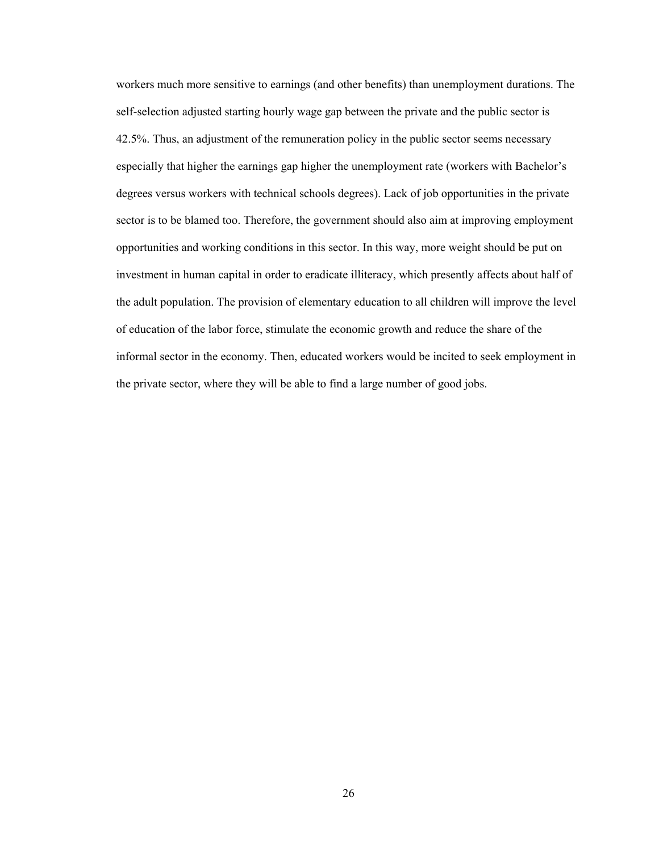workers much more sensitive to earnings (and other benefits) than unemployment durations. The self-selection adjusted starting hourly wage gap between the private and the public sector is 42.5%. Thus, an adjustment of the remuneration policy in the public sector seems necessary especially that higher the earnings gap higher the unemployment rate (workers with Bachelor's degrees versus workers with technical schools degrees). Lack of job opportunities in the private sector is to be blamed too. Therefore, the government should also aim at improving employment opportunities and working conditions in this sector. In this way, more weight should be put on investment in human capital in order to eradicate illiteracy, which presently affects about half of the adult population. The provision of elementary education to all children will improve the level of education of the labor force, stimulate the economic growth and reduce the share of the informal sector in the economy. Then, educated workers would be incited to seek employment in the private sector, where they will be able to find a large number of good jobs.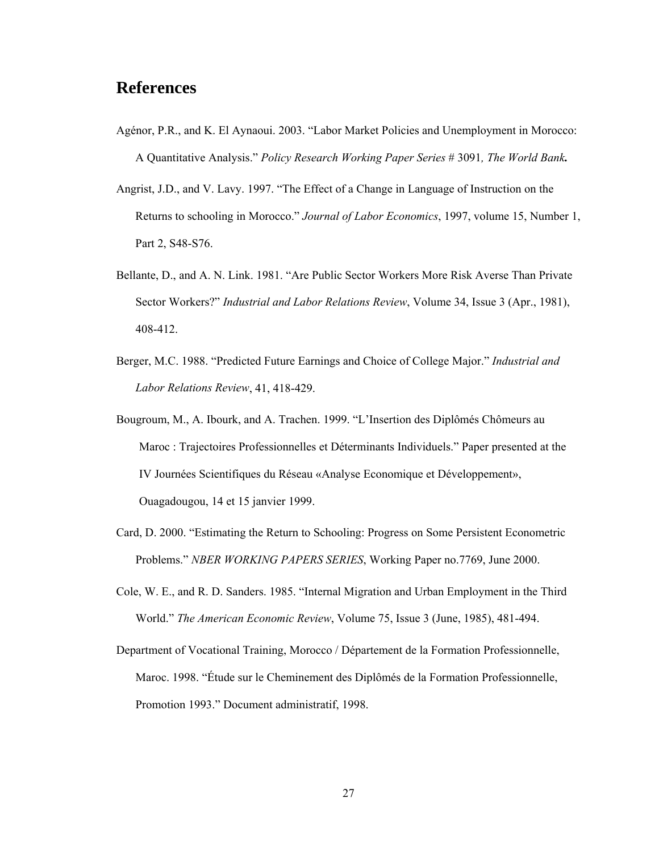### **References**

- Agénor, P.R., and K. El Aynaoui. 2003. "Labor Market Policies and Unemployment in Morocco: A Quantitative Analysis." *Policy Research Working Paper Series* # 3091*, The World Bank.*
- Angrist, J.D., and V. Lavy. 1997. "The Effect of a Change in Language of Instruction on the Returns to schooling in Morocco." *Journal of Labor Economics*, 1997, volume 15, Number 1, Part 2, S48-S76.
- Bellante, D., and A. N. Link. 1981. "Are Public Sector Workers More Risk Averse Than Private Sector Workers?" *Industrial and Labor Relations Review*, Volume 34, Issue 3 (Apr., 1981), 408-412.
- Berger, M.C. 1988. "Predicted Future Earnings and Choice of College Major." *Industrial and Labor Relations Review*, 41, 418-429.
- Bougroum, M., A. Ibourk, and A. Trachen. 1999. "L'Insertion des Diplômés Chômeurs au Maroc : Trajectoires Professionnelles et Déterminants Individuels." Paper presented at the IV Journées Scientifiques du Réseau «Analyse Economique et Développement», Ouagadougou, 14 et 15 janvier 1999.
- Card, D. 2000. "Estimating the Return to Schooling: Progress on Some Persistent Econometric Problems." *NBER WORKING PAPERS SERIES*, Working Paper no.7769, June 2000.
- Cole, W. E., and R. D. Sanders. 1985. "Internal Migration and Urban Employment in the Third World." *The American Economic Review*, Volume 75, Issue 3 (June, 1985), 481-494.
- Department of Vocational Training, Morocco / Département de la Formation Professionnelle, Maroc. 1998. "Étude sur le Cheminement des Diplômés de la Formation Professionnelle, Promotion 1993." Document administratif, 1998.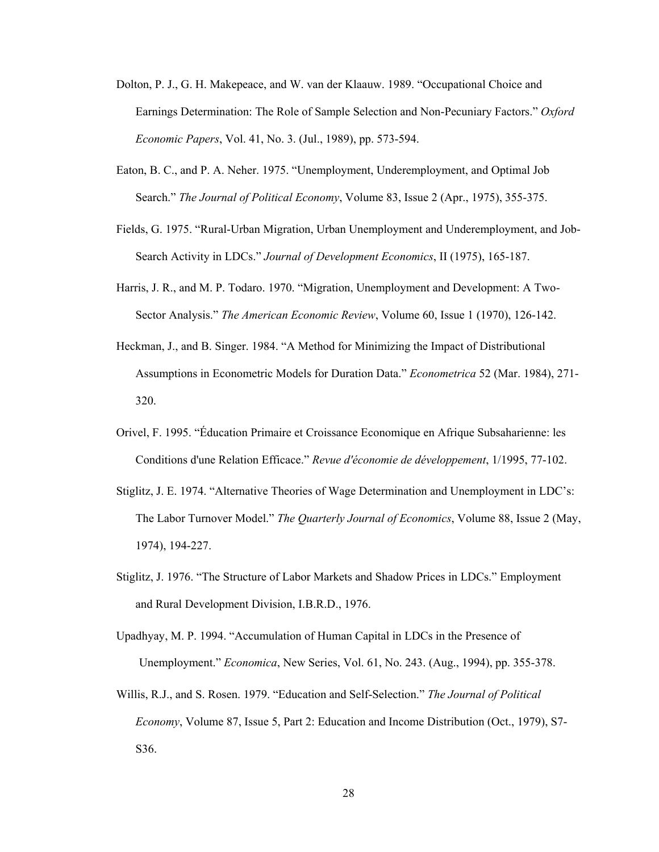- Dolton, P. J., G. H. Makepeace, and W. van der Klaauw. 1989. "Occupational Choice and Earnings Determination: The Role of Sample Selection and Non-Pecuniary Factors." *Oxford Economic Papers*, Vol. 41, No. 3. (Jul., 1989), pp. 573-594.
- Eaton, B. C., and P. A. Neher. 1975. "Unemployment, Underemployment, and Optimal Job Search." *The Journal of Political Economy*, Volume 83, Issue 2 (Apr., 1975), 355-375.
- Fields, G. 1975. "Rural-Urban Migration, Urban Unemployment and Underemployment, and Job-Search Activity in LDCs." *Journal of Development Economics*, II (1975), 165-187.
- Harris, J. R., and M. P. Todaro. 1970. "Migration, Unemployment and Development: A Two-Sector Analysis." *The American Economic Review*, Volume 60, Issue 1 (1970), 126-142.
- Heckman, J., and B. Singer. 1984. "A Method for Minimizing the Impact of Distributional Assumptions in Econometric Models for Duration Data." *Econometrica* 52 (Mar. 1984), 271- 320.
- Orivel, F. 1995. "Éducation Primaire et Croissance Economique en Afrique Subsaharienne: les Conditions d'une Relation Efficace." *Revue d'économie de développement*, 1/1995, 77-102.
- Stiglitz, J. E. 1974. "Alternative Theories of Wage Determination and Unemployment in LDC's: The Labor Turnover Model." *The Quarterly Journal of Economics*, Volume 88, Issue 2 (May, 1974), 194-227.
- Stiglitz, J. 1976. "The Structure of Labor Markets and Shadow Prices in LDCs." Employment and Rural Development Division, I.B.R.D., 1976.
- Upadhyay, M. P. 1994. "Accumulation of Human Capital in LDCs in the Presence of Unemployment." *Economica*, New Series, Vol. 61, No. 243. (Aug., 1994), pp. 355-378.
- Willis, R.J., and S. Rosen. 1979. "Education and Self-Selection." *The Journal of Political Economy*, Volume 87, Issue 5, Part 2: Education and Income Distribution (Oct., 1979), S7- S36.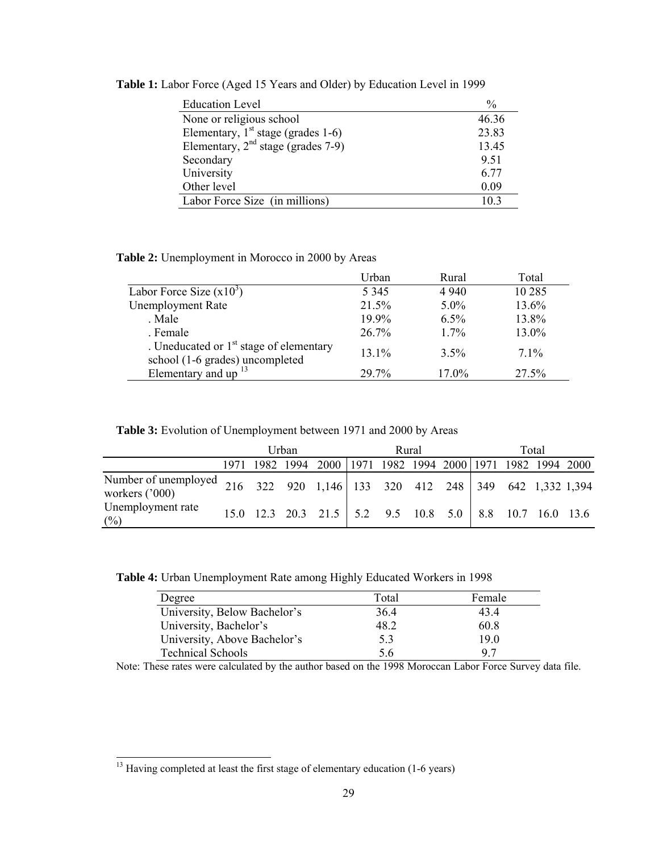| <b>Education Level</b>               | $\%$  |
|--------------------------------------|-------|
| None or religious school             | 46.36 |
| Elementary, $1st$ stage (grades 1-6) | 23.83 |
| Elementary, $2nd$ stage (grades 7-9) | 13.45 |
| Secondary                            | 9.51  |
| University                           | 6.77  |
| Other level                          | 0.09  |
| Labor Force Size (in millions)       | 103   |

**Table 1:** Labor Force (Aged 15 Years and Older) by Education Level in 1999

**Table 2:** Unemployment in Morocco in 2000 by Areas

|                                                                              | Urban   | Rural   | Total  |
|------------------------------------------------------------------------------|---------|---------|--------|
| Labor Force Size $(x10^3)$                                                   | 5 3 4 5 | 4 9 4 0 | 10 285 |
| <b>Unemployment Rate</b>                                                     | 21.5%   | $5.0\%$ | 13.6%  |
| . Male                                                                       | 19.9%   | $6.5\%$ | 13.8%  |
| . Female                                                                     | 26.7%   | $1.7\%$ | 13.0%  |
| . Uneducated or $1st$ stage of elementary<br>school (1-6 grades) uncompleted | 13.1%   | $3.5\%$ | $71\%$ |
| Elementary and up $^{13}$                                                    | 29.7%   | 17.0%   | 27.5%  |

**Table 3:** Evolution of Unemployment between 1971 and 2000 by Areas

|                                                                                                |      | Urban |  |                                                        | Rural |  |  | Total |  |  |  |  |
|------------------------------------------------------------------------------------------------|------|-------|--|--------------------------------------------------------|-------|--|--|-------|--|--|--|--|
|                                                                                                | 1971 |       |  | 1982 1994 2000 1971 1982 1994 2000 1971 1982 1994 2000 |       |  |  |       |  |  |  |  |
| Number of unemployed 216 322 920 1,146 133 320 412 248 349 642 1,332 1,394<br>workers $('000)$ |      |       |  |                                                        |       |  |  |       |  |  |  |  |
| Unemployment rate<br>$(\%)$                                                                    |      |       |  |                                                        |       |  |  |       |  |  |  |  |

**Table 4:** Urban Unemployment Rate among Highly Educated Workers in 1998

| Degree                       | Total | Female |
|------------------------------|-------|--------|
| University, Below Bachelor's | 36.4  | 43.4   |
| University, Bachelor's       | 48.2  | 60.8   |
| University, Above Bachelor's | 53    | 19.0   |
| <b>Technical Schools</b>     | 5.6   | 97     |

Note: These rates were calculated by the author based on the 1998 Moroccan Labor Force Survey data file.

-

 $13$  Having completed at least the first stage of elementary education (1-6 years)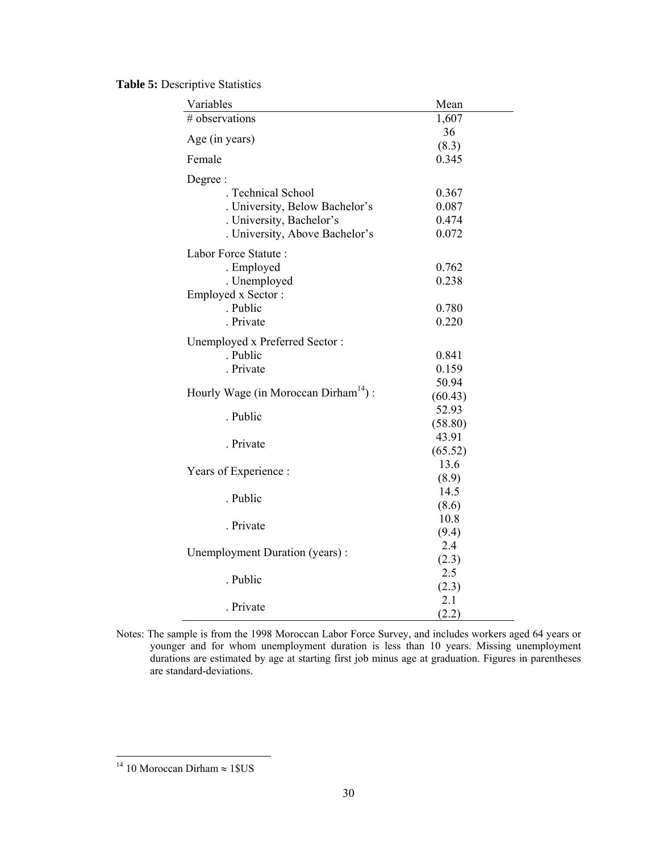**Table 5:** Descriptive Statistics

| Variables                                        | Mean    |
|--------------------------------------------------|---------|
| # observations                                   | 1,607   |
| Age (in years)                                   | 36      |
|                                                  | (8.3)   |
| Female                                           | 0.345   |
| Degree:                                          |         |
| . Technical School                               | 0.367   |
| . University, Below Bachelor's                   | 0.087   |
| . University, Bachelor's                         | 0.474   |
| . University, Above Bachelor's                   | 0.072   |
| Labor Force Statute:                             |         |
| . Employed                                       | 0.762   |
| . Unemployed                                     | 0.238   |
| Employed x Sector:                               |         |
| . Public                                         | 0.780   |
| . Private                                        | 0.220   |
| Unemployed x Preferred Sector:                   |         |
| . Public                                         | 0.841   |
| . Private                                        | 0.159   |
|                                                  | 50.94   |
| Hourly Wage (in Moroccan Dirham <sup>14</sup> ): | (60.43) |
|                                                  | 52.93   |
| . Public                                         | (58.80) |
|                                                  | 43.91   |
| . Private                                        | (65.52) |
|                                                  | 13.6    |
| Years of Experience :                            | (8.9)   |
| . Public                                         | 14.5    |
|                                                  | (8.6)   |
| . Private                                        | 10.8    |
|                                                  | (9.4)   |
|                                                  | 2.4     |
| Unemployment Duration (years):                   | (2.3)   |
| . Public                                         | 2.5     |
|                                                  | (2.3)   |
| . Private                                        | 2.1     |
|                                                  | (2.2)   |

Notes: The sample is from the 1998 Moroccan Labor Force Survey, and includes workers aged 64 years or younger and for whom unemployment duration is less than 10 years. Missing unemployment durations are estimated by age at starting first job minus age at graduation. Figures in parentheses are standard-deviations.

 $\overline{a}$ 

<sup>&</sup>lt;sup>14</sup> 10 Moroccan Dirham  $\approx 1$  \$US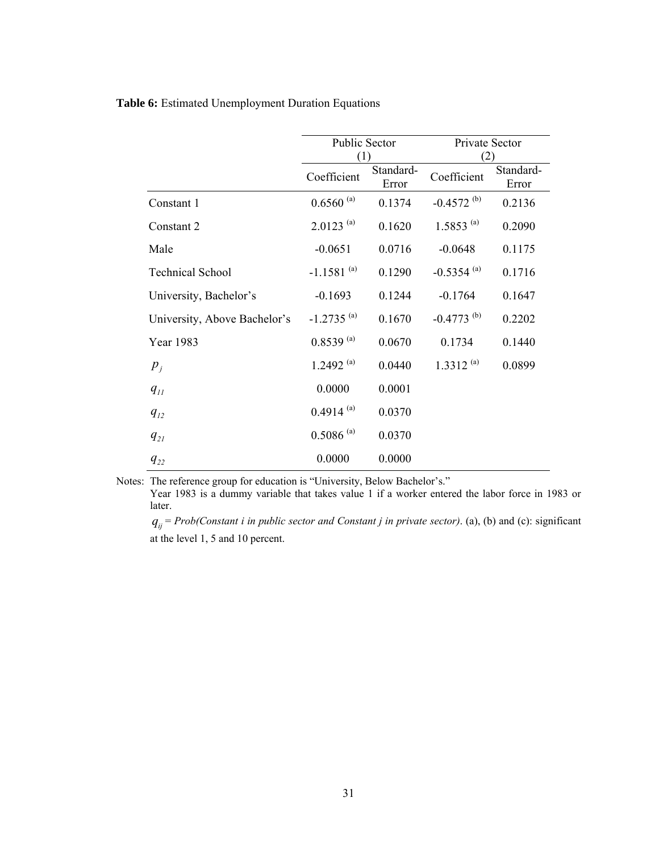#### **Table 6:** Estimated Unemployment Duration Equations

|                              | Public Sector                     |        | Private Sector           |                    |  |  |
|------------------------------|-----------------------------------|--------|--------------------------|--------------------|--|--|
|                              | (1)                               |        | (2)                      |                    |  |  |
|                              | Standard-<br>Coefficient<br>Error |        | Coefficient              | Standard-<br>Error |  |  |
| Constant 1                   | $0.6560^{(a)}$                    | 0.1374 | $-0.4572^{(b)}$          | 0.2136             |  |  |
| Constant 2                   | $2.0123^{(a)}$                    | 0.1620 | $1.5853^{(a)}$           | 0.2090             |  |  |
| Male                         | $-0.0651$                         | 0.0716 | $-0.0648$                | 0.1175             |  |  |
| <b>Technical School</b>      | $-1.1581^{(a)}$                   | 0.1290 | $-0.5354$ <sup>(a)</sup> | 0.1716             |  |  |
| University, Bachelor's       | $-0.1693$                         | 0.1244 | $-0.1764$                | 0.1647             |  |  |
| University, Above Bachelor's | $-1.2735$ <sup>(a)</sup>          | 0.1670 | $-0.4773$ <sup>(b)</sup> | 0.2202             |  |  |
| Year 1983                    | $0.8539^{(a)}$                    | 0.0670 | 0.1734                   | 0.1440             |  |  |
| $p_{j}$                      | 1.2492 $^{(a)}$                   | 0.0440 | $1.3312^{(a)}$           | 0.0899             |  |  |
| $q_{\scriptscriptstyle II}$  | 0.0000                            | 0.0001 |                          |                    |  |  |
| $q_{12}$                     | $0.4914^{(a)}$                    | 0.0370 |                          |                    |  |  |
| $q_{2l}$                     | $0.5086$ <sup>(a)</sup>           | 0.0370 |                          |                    |  |  |
| $q_{22}$                     | 0.0000                            | 0.0000 |                          |                    |  |  |

Notes: The reference group for education is "University, Below Bachelor's."

Year 1983 is a dummy variable that takes value 1 if a worker entered the labor force in 1983 or later.

 $q_{ij}$  = *Prob(Constant i in public sector and Constant j in private sector)*. (a), (b) and (c): significant at the level 1, 5 and 10 percent.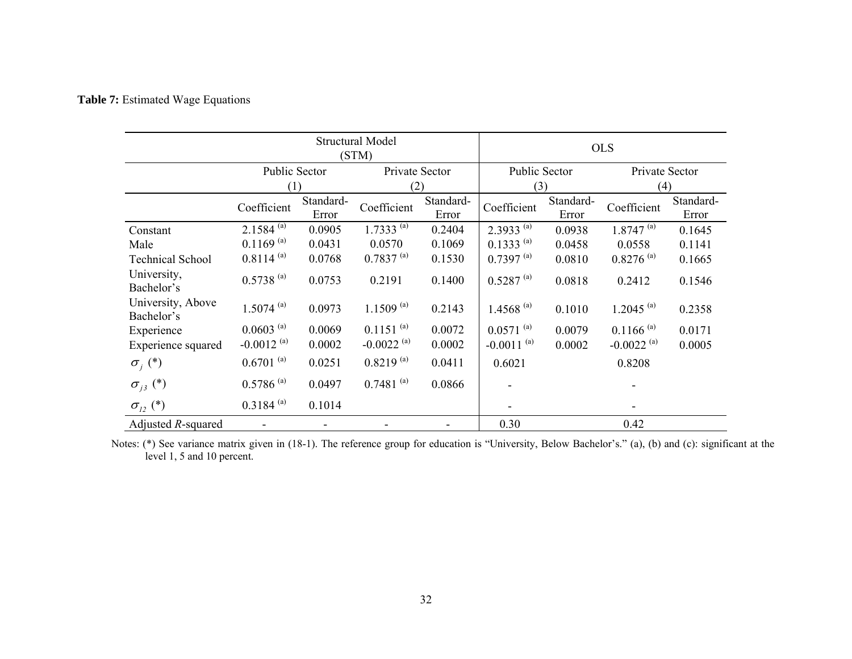#### **Table 7:** Estimated Wage Equations

|                                         | <b>Structural Model</b><br>(STM) |                    |                          |                    | <b>OLS</b>      |                    |                          |                    |  |
|-----------------------------------------|----------------------------------|--------------------|--------------------------|--------------------|-----------------|--------------------|--------------------------|--------------------|--|
|                                         | Public Sector                    |                    | Private Sector           | Public Sector      |                 | Private Sector     |                          |                    |  |
|                                         | (1)                              |                    |                          | (2)                |                 | (3)                |                          | (4)                |  |
|                                         | Coefficient                      | Standard-<br>Error | Coefficient              | Standard-<br>Error | Coefficient     | Standard-<br>Error | Coefficient              | Standard-<br>Error |  |
| Constant                                | $2.1584^{(a)}$                   | 0.0905             | $1.7333^{(a)}$           | 0.2404             | $2.3933^{(a)}$  | 0.0938             | $1.8747^{(a)}$           | 0.1645             |  |
| Male                                    | $0.1169^{(a)}$                   | 0.0431             | 0.0570                   | 0.1069             | $0.1333^{(a)}$  | 0.0458             | 0.0558                   | 0.1141             |  |
| <b>Technical School</b>                 | $0.8114^{(a)}$                   | 0.0768             | $0.7837^{(a)}$           | 0.1530             | $0.7397^{(a)}$  | 0.0810             | $0.8276^{(a)}$           | 0.1665             |  |
| University,<br>Bachelor's               | $0.5738^{(a)}$                   | 0.0753             | 0.2191                   | 0.1400             | $0.5287^{(a)}$  | 0.0818             | 0.2412                   | 0.1546             |  |
| University, Above<br>Bachelor's         | $1.5074^{(a)}$                   | 0.0973             | $1.1509^{(a)}$           | 0.2143             | $1.4568^{(a)}$  | 0.1010             | $1.2045$ <sup>(a)</sup>  | 0.2358             |  |
| Experience                              | $0.0603^{(a)}$                   | 0.0069             | $0.1151^{(a)}$           | 0.0072             | $0.0571^{(a)}$  | 0.0079             | $0.1166$ <sup>(a)</sup>  | 0.0171             |  |
| Experience squared                      | $-0.0012$ <sup>(a)</sup>         | 0.0002             | $-0.0022$ <sup>(a)</sup> | 0.0002             | $-0.0011^{(a)}$ | 0.0002             | $-0.0022$ <sup>(a)</sup> | 0.0005             |  |
| $\sigma_i^{\vphantom{*}}(*)$            | $0.6701^{(a)}$                   | 0.0251             | $0.8219^{(a)}$           | 0.0411             | 0.6021          |                    | 0.8208                   |                    |  |
| $\sigma_{_{j3}}$ (*)                    | $0.5786$ <sup>(a)</sup>          | 0.0497             | $0.7481^{(a)}$           | 0.0866             |                 |                    |                          |                    |  |
| $\sigma_{12}^{\text{}}\left( ^*\right)$ | $0.3184^{(a)}$                   | 0.1014             |                          |                    |                 |                    |                          |                    |  |
| Adjusted $R$ -squared                   |                                  |                    |                          |                    | 0.30            |                    | 0.42                     |                    |  |

Notes: (\*) See variance matrix given in (18-1). The reference group for education is "University, Below Bachelor's." (a), (b) and (c): significant at the level 1, 5 and 10 percent.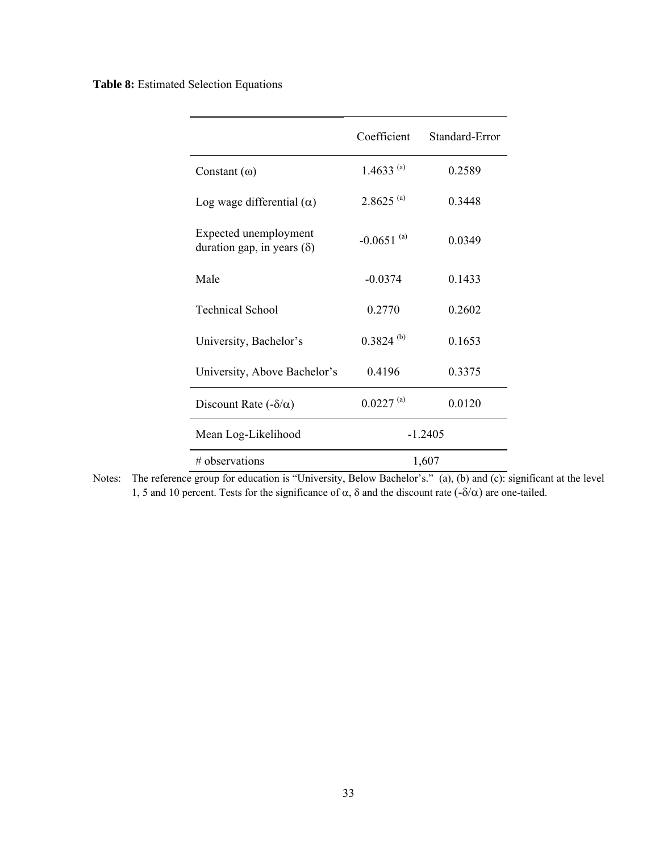**Table 8:** Estimated Selection Equations

|                                                            | Coefficient     | Standard-Error |  |  |
|------------------------------------------------------------|-----------------|----------------|--|--|
| Constant $(\omega)$                                        | 1.4633 $^{(a)}$ | 0.2589         |  |  |
| Log wage differential $(\alpha)$                           | $2.8625^{(a)}$  | 0.3448         |  |  |
| Expected unemployment<br>duration gap, in years $(\delta)$ | $-0.0651^{(a)}$ | 0.0349         |  |  |
| Male                                                       | $-0.0374$       | 0.1433         |  |  |
| <b>Technical School</b>                                    | 0.2770          | 0.2602         |  |  |
| University, Bachelor's                                     | $0.3824^{(b)}$  | 0.1653         |  |  |
| University, Above Bachelor's                               | 0.4196          | 0.3375         |  |  |
| Discount Rate $(-\delta/\alpha)$                           | $0.0227^{(a)}$  | 0.0120         |  |  |
| Mean Log-Likelihood                                        |                 | $-1.2405$      |  |  |
| # observations                                             | 1,607           |                |  |  |

Notes: The reference group for education is "University, Below Bachelor's." (a), (b) and (c): significant at the level 1, 5 and 10 percent. Tests for the significance of  $\alpha$ , δ and the discount rate  $(-\delta/\alpha)$  are one-tailed.